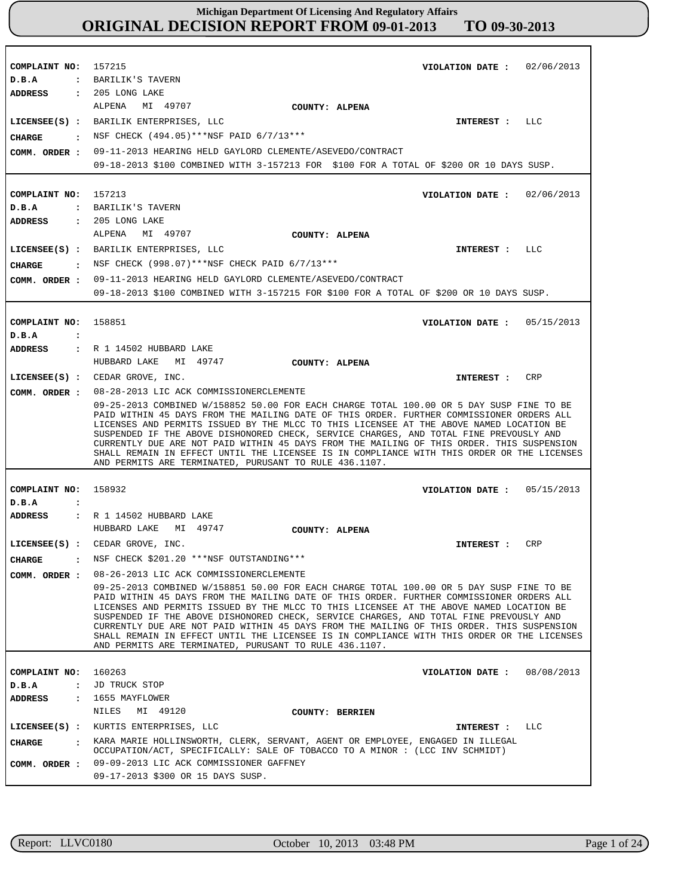**COMPLAINT NO: COMPLAINT NO:** 157213 **COMPLAINT NO: COMPLAINT NO:** 158932 **COMPLAINT NO:** 160263 157215 158851 **VIOLATION DATE : VIOLATION DATE :** 02/06/2013 **VIOLATION DATE : VIOLATION DATE : VIOLATION DATE :** 08/08/2013 02/06/2013 05/15/2013 05/15/2013 **D.B.A : D.B.A : D.B.A : D.B.A : D.B.A :** BARILIK'S TAVERN BARILIK'S TAVERN JD TRUCK STOP **ADDRESS : ADDRESS : ADDRESS : ADDRESS : ADDRESS :** 205 LONG LAKE 205 LONG LAKE R 1 14502 HUBBARD LAKE R 1 14502 HUBBARD LAKE 1655 MAYFLOWER ALPENA MI 49707 ALPENA MI 49707 HUBBARD LAKE MI 49747 HUBBARD LAKE MI 49747 NILES MI 49120 09-11-2013 HEARING HELD GAYLORD CLEMENTE/ASEVEDO/CONTRACT 09-18-2013 \$100 COMBINED WITH 3-157213 FOR \$100 FOR A TOTAL OF \$200 OR 10 DAYS SUSP. COMM. ORDER : 09-11-2013 HEARING HELD GAYLORD CLEMENTE/ASEVEDO/CONTRACT 09-18-2013 \$100 COMBINED WITH 3-157215 FOR \$100 FOR A TOTAL OF \$200 OR 10 DAYS SUSP. 08-28-2013 LIC ACK COMMISSIONERCLEMENTE **COMM. ORDER :** 09-25-2013 COMBINED W/158852 50.00 FOR EACH CHARGE TOTAL 100.00 OR 5 DAY SUSP FINE TO BE PAID WITHIN 45 DAYS FROM THE MAILING DATE OF THIS ORDER. FURTHER COMMISSIONER ORDERS ALL LICENSES AND PERMITS ISSUED BY THE MLCC TO THIS LICENSEE AT THE ABOVE NAMED LOCATION BE SUSPENDED IF THE ABOVE DISHONORED CHECK, SERVICE CHARGES, AND TOTAL FINE PREVOUSLY AND CURRENTLY DUE ARE NOT PAID WITHIN 45 DAYS FROM THE MAILING OF THIS ORDER. THIS SUSPENSION SHALL REMAIN IN EFFECT UNTIL THE LICENSEE IS IN COMPLIANCE WITH THIS ORDER OR THE LICENSES AND PERMITS ARE TERMINATED, PURUSANT TO RULE 436.1107. 08-26-2013 LIC ACK COMMISSIONERCLEMENTE 09-25-2013 COMBINED W/158851 50.00 FOR EACH CHARGE TOTAL 100.00 OR 5 DAY SUSP FINE TO BE PAID WITHIN 45 DAYS FROM THE MAILING DATE OF THIS ORDER. FURTHER COMMISSIONER ORDERS ALL LICENSES AND PERMITS ISSUED BY THE MLCC TO THIS LICENSEE AT THE ABOVE NAMED LOCATION BE SUSPENDED IF THE ABOVE DISHONORED CHECK, SERVICE CHARGES, AND TOTAL FINE PREVOUSLY AND CURRENTLY DUE ARE NOT PAID WITHIN 45 DAYS FROM THE MAILING OF THIS ORDER. THIS SUSPENSION SHALL REMAIN IN EFFECT UNTIL THE LICENSEE IS IN COMPLIANCE WITH THIS ORDER OR THE LICENSES AND PERMITS ARE TERMINATED, PURUSANT TO RULE 436.1107. 09-09-2013 LIC ACK COMMISSIONER GAFFNEY 09-17-2013 \$300 OR 15 DAYS SUSP. **LICENSEE(S) :** BARILIK ENTERPRISES, LLC **LICENSEE(S) :** BARILIK ENTERPRISES, LLC **LICENSEE(S) :** CEDAR GROVE, INC. **LICENSEE(S) :** CEDAR GROVE, INC. **LICENSEE(S) :** KURTIS ENTERPRISES, LLC LLC  $T.T.C$ **CRP** CRP LLC **CHARGE : CHARGE : CHARGE : CHARGE :** NSF CHECK (494.05)\*\*\*NSF PAID 6/7/13\*\*\* : NSF CHECK (998.07)\*\*\*NSF CHECK PAID  $6/7/13***$ NSF CHECK \$201.20 \*\*\*NSF OUTSTANDING\*\*\* KARA MARIE HOLLINSWORTH, CLERK, SERVANT, AGENT OR EMPLOYEE, ENGAGED IN ILLEGAL OCCUPATION/ACT, SPECIFICALLY: SALE OF TOBACCO TO A MINOR : (LCC INV SCHMIDT) **INTEREST : INTEREST : INTEREST : INTEREST : INTEREST : COMM. ORDER : COMM. ORDER : COMM. ORDER : COUNTY: ALPENA COUNTY: ALPENA COUNTY: ALPENA COUNTY: ALPENA COUNTY: BERRIEN**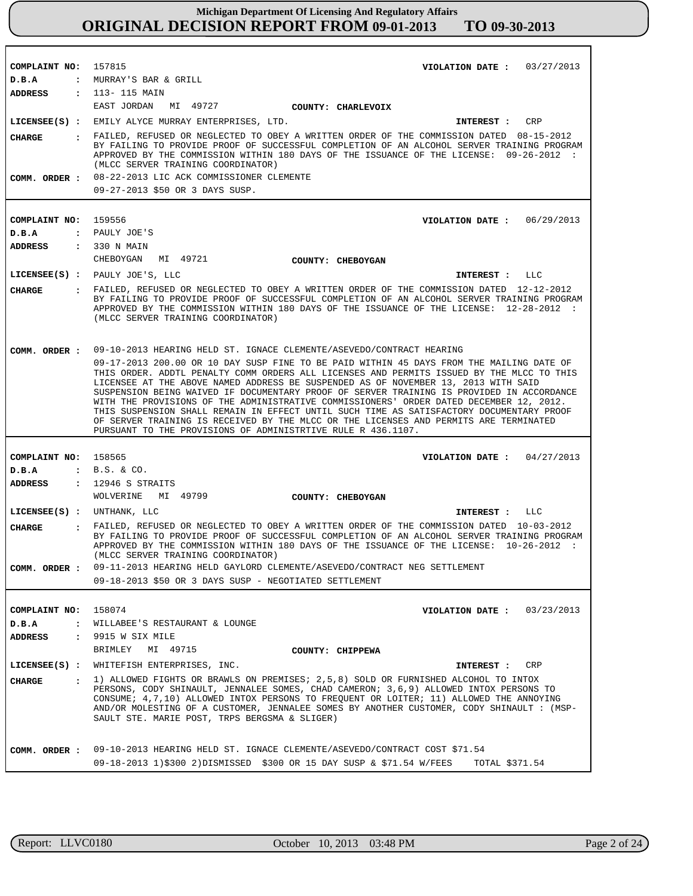| COMPLAINT NO:                 | 157815<br>VIOLATION DATE: $03/27/2013$                                                                                                                                                                                                                                                                                                                                                                                                                                                                                                                                                                                                                                                                                   |
|-------------------------------|--------------------------------------------------------------------------------------------------------------------------------------------------------------------------------------------------------------------------------------------------------------------------------------------------------------------------------------------------------------------------------------------------------------------------------------------------------------------------------------------------------------------------------------------------------------------------------------------------------------------------------------------------------------------------------------------------------------------------|
| D.B.A                         | : MURRAY'S BAR & GRILL                                                                                                                                                                                                                                                                                                                                                                                                                                                                                                                                                                                                                                                                                                   |
| ADDRESS                       | : 113- 115 MAIN                                                                                                                                                                                                                                                                                                                                                                                                                                                                                                                                                                                                                                                                                                          |
|                               | EAST JORDAN<br>MI 49727<br>COUNTY: CHARLEVOIX                                                                                                                                                                                                                                                                                                                                                                                                                                                                                                                                                                                                                                                                            |
|                               | LICENSEE(S) : EMILY ALYCE MURRAY ENTERPRISES, LTD.<br>CRP<br>INTEREST :                                                                                                                                                                                                                                                                                                                                                                                                                                                                                                                                                                                                                                                  |
| CHARGE                        | : FAILED, REFUSED OR NEGLECTED TO OBEY A WRITTEN ORDER OF THE COMMISSION DATED 08-15-2012<br>BY FAILING TO PROVIDE PROOF OF SUCCESSFUL COMPLETION OF AN ALCOHOL SERVER TRAINING PROGRAM<br>APPROVED BY THE COMMISSION WITHIN 180 DAYS OF THE ISSUANCE OF THE LICENSE: 09-26-2012 :<br>(MLCC SERVER TRAINING COORDINATOR)                                                                                                                                                                                                                                                                                                                                                                                                 |
|                               | COMM. ORDER : 08-22-2013 LIC ACK COMMISSIONER CLEMENTE                                                                                                                                                                                                                                                                                                                                                                                                                                                                                                                                                                                                                                                                   |
|                               | 09-27-2013 \$50 OR 3 DAYS SUSP.                                                                                                                                                                                                                                                                                                                                                                                                                                                                                                                                                                                                                                                                                          |
|                               |                                                                                                                                                                                                                                                                                                                                                                                                                                                                                                                                                                                                                                                                                                                          |
| COMPLAINT NO:                 | 159556<br>VIOLATION DATE: $06/29/2013$                                                                                                                                                                                                                                                                                                                                                                                                                                                                                                                                                                                                                                                                                   |
| D.B.A                         | : PAULY JOE'S                                                                                                                                                                                                                                                                                                                                                                                                                                                                                                                                                                                                                                                                                                            |
| ADDRESS                       | : 330 N MAIN                                                                                                                                                                                                                                                                                                                                                                                                                                                                                                                                                                                                                                                                                                             |
|                               | CHEBOYGAN MI 49721<br>COUNTY: CHEBOYGAN                                                                                                                                                                                                                                                                                                                                                                                                                                                                                                                                                                                                                                                                                  |
|                               | LICENSEE(S) : PAULY JOE'S, LLC<br>INTEREST : LLC                                                                                                                                                                                                                                                                                                                                                                                                                                                                                                                                                                                                                                                                         |
| CIIARGE                       | : FAILED, REFUSED OR NEGLECTED TO OBEY A WRITTEN ORDER OF THE COMMISSION DATED 12-12-2012<br>BY FAILING TO PROVIDE PROOF OF SUCCESSFUL COMPLETION OF AN ALCOHOL SERVER TRAINING PROGRAM<br>APPROVED BY THE COMMISSION WITHIN 180 DAYS OF THE ISSUANCE OF THE LICENSE: 12-28-2012 :<br>(MLCC SERVER TRAINING COORDINATOR)                                                                                                                                                                                                                                                                                                                                                                                                 |
| COMM. ORDER :                 | 09-10-2013 HEARING HELD ST. IGNACE CLEMENTE/ASEVEDO/CONTRACT HEARING                                                                                                                                                                                                                                                                                                                                                                                                                                                                                                                                                                                                                                                     |
|                               | 09-17-2013 200.00 OR 10 DAY SUSP FINE TO BE PAID WITHIN 45 DAYS FROM THE MAILING DATE OF<br>THIS ORDER. ADDTL PENALTY COMM ORDERS ALL LICENSES AND PERMITS ISSUED BY THE MLCC TO THIS<br>LICENSEE AT THE ABOVE NAMED ADDRESS BE SUSPENDED AS OF NOVEMBER 13, 2013 WITH SAID<br>SUSPENSION BEING WAIVED IF DOCUMENTARY PROOF OF SERVER TRAINING IS PROVIDED IN ACCORDANCE<br>WITH THE PROVISIONS OF THE ADMINISTRATIVE COMMISSIONERS' ORDER DATED DECEMBER 12, 2012.<br>THIS SUSPENSION SHALL REMAIN IN EFFECT UNTIL SUCH TIME AS SATISFACTORY DOCUMENTARY PROOF<br>OF SERVER TRAINING IS RECEIVED BY THE MLCC OR THE LICENSES AND PERMITS ARE TERMINATED<br>PURSUANT TO THE PROVISIONS OF ADMINISTRTIVE RULE R 436.1107. |
|                               |                                                                                                                                                                                                                                                                                                                                                                                                                                                                                                                                                                                                                                                                                                                          |
| COMPLAINT NO: 158565          | VIOLATION DATE: $04/27/2013$                                                                                                                                                                                                                                                                                                                                                                                                                                                                                                                                                                                                                                                                                             |
| D.B.A                         | $:B.S. \& CO.$                                                                                                                                                                                                                                                                                                                                                                                                                                                                                                                                                                                                                                                                                                           |
| ADDRESS                       | $: 12946$ S STRAITS                                                                                                                                                                                                                                                                                                                                                                                                                                                                                                                                                                                                                                                                                                      |
|                               | WOLVERINE MI 49799<br>COUNTY: CHEBOYGAN                                                                                                                                                                                                                                                                                                                                                                                                                                                                                                                                                                                                                                                                                  |
| LICENSEE(S) : UNTHANK, LLC    | INTEREST : LLC                                                                                                                                                                                                                                                                                                                                                                                                                                                                                                                                                                                                                                                                                                           |
| <b>CHARGE</b><br>$\mathbf{r}$ | FAILED, REFUSED OR NEGLECTED TO OBEY A WRITTEN ORDER OF THE COMMISSION DATED 10-03-2012<br>BY FAILING TO PROVIDE PROOF OF SUCCESSFUL COMPLETION OF AN ALCOHOL SERVER TRAINING PROGRAM<br>APPROVED BY THE COMMISSION WITHIN 180 DAYS OF THE ISSUANCE OF THE LICENSE: 10-26-2012 :<br>(MLCC SERVER TRAINING COORDINATOR)                                                                                                                                                                                                                                                                                                                                                                                                   |
|                               | COMM. ORDER : 09-11-2013 HEARING HELD GAYLORD CLEMENTE/ASEVEDO/CONTRACT NEG SETTLEMENT                                                                                                                                                                                                                                                                                                                                                                                                                                                                                                                                                                                                                                   |
|                               | 09-18-2013 \$50 OR 3 DAYS SUSP - NEGOTIATED SETTLEMENT                                                                                                                                                                                                                                                                                                                                                                                                                                                                                                                                                                                                                                                                   |
|                               |                                                                                                                                                                                                                                                                                                                                                                                                                                                                                                                                                                                                                                                                                                                          |
| COMPLAINT NO: 158074          | VIOLATION DATE: $03/23/2013$                                                                                                                                                                                                                                                                                                                                                                                                                                                                                                                                                                                                                                                                                             |
| D.B.A                         | : WILLABEE'S RESTAURANT & LOUNGE                                                                                                                                                                                                                                                                                                                                                                                                                                                                                                                                                                                                                                                                                         |
| ADDRESS                       | : 9915 W SIX MILE                                                                                                                                                                                                                                                                                                                                                                                                                                                                                                                                                                                                                                                                                                        |
|                               | BRIMLEY MI 49715<br><b>COUNTY: CHIPPEWA</b>                                                                                                                                                                                                                                                                                                                                                                                                                                                                                                                                                                                                                                                                              |
|                               | LICENSEE(S) : WHITEFISH ENTERPRISES, INC.<br>CRP<br>INTEREST :                                                                                                                                                                                                                                                                                                                                                                                                                                                                                                                                                                                                                                                           |
| <b>CHARGE</b>                 | . 1) ALLOWED FIGHTS OR BRAWLS ON PREMISES; 2,5,8) SOLD OR FURNISHED ALCOHOL TO INTOX<br>PERSONS, CODY SHINAULT, JENNALEE SOMES, CHAD CAMERON; 3,6,9) ALLOWED INTOX PERSONS TO<br>CONSUME; 4, 7, 10) ALLOWED INTOX PERSONS TO FREQUENT OR LOITER; 11) ALLOWED THE ANNOYING<br>AND/OR MOLESTING OF A CUSTOMER, JENNALEE SOMES BY ANOTHER CUSTOMER, CODY SHINAULT : (MSP-<br>SAULT STE. MARIE POST, TRPS BERGSMA & SLIGER)                                                                                                                                                                                                                                                                                                  |
|                               | 09-10-2013 HEARING HELD ST. IGNACE CLEMENTE/ASEVEDO/CONTRACT COST \$71.54                                                                                                                                                                                                                                                                                                                                                                                                                                                                                                                                                                                                                                                |
| COMM. ORDER :                 | 09-18-2013 1)\$300 2)DISMISSED \$300 OR 15 DAY SUSP & \$71.54 W/FEES TOTAL \$371.54                                                                                                                                                                                                                                                                                                                                                                                                                                                                                                                                                                                                                                      |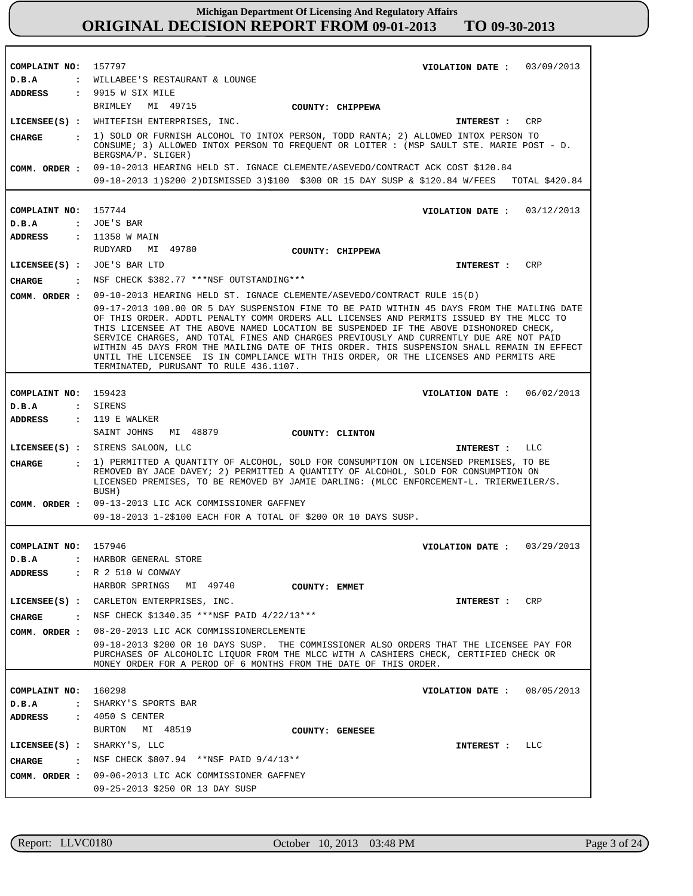| COMPLAINT NO:                  | 157797<br>VIOLATION DATE: 03/09/2013                                                                                                                                                                                                                                                                                                                                                                                                                                                                                                                                                                     |
|--------------------------------|----------------------------------------------------------------------------------------------------------------------------------------------------------------------------------------------------------------------------------------------------------------------------------------------------------------------------------------------------------------------------------------------------------------------------------------------------------------------------------------------------------------------------------------------------------------------------------------------------------|
| D.B.A<br><b>ADDRESS</b>        | : WILLABEE'S RESTAURANT & LOUNGE<br>: 9915 W SIX MILE                                                                                                                                                                                                                                                                                                                                                                                                                                                                                                                                                    |
|                                | BRIMLEY MI 49715<br>COUNTY: CHIPPEWA                                                                                                                                                                                                                                                                                                                                                                                                                                                                                                                                                                     |
|                                | LICENSEE(S) : WHITEFISH ENTERPRISES, INC.<br>CRP<br>INTEREST :                                                                                                                                                                                                                                                                                                                                                                                                                                                                                                                                           |
| CHARGE<br>$\mathbf{r}$         | 1) SOLD OR FURNISH ALCOHOL TO INTOX PERSON, TODD RANTA; 2) ALLOWED INTOX PERSON TO<br>CONSUME; 3) ALLOWED INTOX PERSON TO FREQUENT OR LOITER : (MSP SAULT STE. MARIE POST - D.<br>BERGSMA/P. SLIGER)                                                                                                                                                                                                                                                                                                                                                                                                     |
| COMM. ORDER :                  | 09-10-2013 HEARING HELD ST. IGNACE CLEMENTE/ASEVEDO/CONTRACT ACK COST \$120.84<br>09-18-2013 1)\$200 2)DISMISSED 3)\$100 \$300 OR 15 DAY SUSP & \$120.84 W/FEES TOTAL \$420.84                                                                                                                                                                                                                                                                                                                                                                                                                           |
|                                |                                                                                                                                                                                                                                                                                                                                                                                                                                                                                                                                                                                                          |
| COMPLAINT NO: 157744           | VIOLATION DATE: $03/12/2013$                                                                                                                                                                                                                                                                                                                                                                                                                                                                                                                                                                             |
| D.B.A                          | : JOE'S BAR                                                                                                                                                                                                                                                                                                                                                                                                                                                                                                                                                                                              |
| ADDRESS                        | : 11358 W MAIN                                                                                                                                                                                                                                                                                                                                                                                                                                                                                                                                                                                           |
|                                | RUDYARD<br>MI 49780<br>COUNTY: CHIPPEWA                                                                                                                                                                                                                                                                                                                                                                                                                                                                                                                                                                  |
| LICENSEE(S) : JOE'S BAR LTD    | CRP<br><b>INTEREST :</b>                                                                                                                                                                                                                                                                                                                                                                                                                                                                                                                                                                                 |
| CHARGE                         | NSF CHECK \$382.77 ***NSF OUTSTANDING***                                                                                                                                                                                                                                                                                                                                                                                                                                                                                                                                                                 |
| COMM. ORDER :                  | 09-10-2013 HEARING HELD ST. IGNACE CLEMENTE/ASEVEDO/CONTRACT RULE 15(D)                                                                                                                                                                                                                                                                                                                                                                                                                                                                                                                                  |
|                                | 09-17-2013 100.00 OR 5 DAY SUSPENSION FINE TO BE PAID WITHIN 45 DAYS FROM THE MAILING DATE<br>OF THIS ORDER. ADDTL PENALTY COMM ORDERS ALL LICENSES AND PERMITS ISSUED BY THE MLCC TO<br>THIS LICENSEE AT THE ABOVE NAMED LOCATION BE SUSPENDED IF THE ABOVE DISHONORED CHECK,<br>SERVICE CHARGES, AND TOTAL FINES AND CHARGES PREVIOUSLY AND CURRENTLY DUE ARE NOT PAID<br>WITHIN 45 DAYS FROM THE MAILING DATE OF THIS ORDER. THIS SUSPENSION SHALL REMAIN IN EFFECT<br>UNTIL THE LICENSEE IS IN COMPLIANCE WITH THIS ORDER, OR THE LICENSES AND PERMITS ARE<br>TERMINATED, PURUSANT TO RULE 436.1107. |
|                                |                                                                                                                                                                                                                                                                                                                                                                                                                                                                                                                                                                                                          |
| COMPLAINT NO:                  | 159423<br>VIOLATION DATE: $06/02/2013$                                                                                                                                                                                                                                                                                                                                                                                                                                                                                                                                                                   |
| D.B.A                          | : SIRENS                                                                                                                                                                                                                                                                                                                                                                                                                                                                                                                                                                                                 |
| ADDRESS                        | : 119 E WALKER<br>SAINT JOHNS<br>MI 48879                                                                                                                                                                                                                                                                                                                                                                                                                                                                                                                                                                |
|                                | COUNTY: CLINTON                                                                                                                                                                                                                                                                                                                                                                                                                                                                                                                                                                                          |
|                                | LICENSEE(S) : SIRENS SALOON, LLC<br>INTEREST : LLC                                                                                                                                                                                                                                                                                                                                                                                                                                                                                                                                                       |
| <b>CIIARGE</b><br>$\mathbf{r}$ | 1) PERMITTED A QUANTITY OF ALCOHOL, SOLD FOR CONSUMPTION ON LICENSED PREMISES, TO BE<br>REMOVED BY JACE DAVEY; 2) PERMITTED A QUANTITY OF ALCOHOL, SOLD FOR CONSUMPTION ON<br>LICENSED PREMISES, TO BE REMOVED BY JAMIE DARLING: (MLCC ENFORCEMENT-L. TRIERWEILER/S.<br>BUSH)                                                                                                                                                                                                                                                                                                                            |
|                                | COMM. ORDER : 09-13-2013 LIC ACK COMMISSIONER GAFFNEY                                                                                                                                                                                                                                                                                                                                                                                                                                                                                                                                                    |
|                                | 09-18-2013 1-2\$100 EACH FOR A TOTAL OF \$200 OR 10 DAYS SUSP.                                                                                                                                                                                                                                                                                                                                                                                                                                                                                                                                           |
|                                |                                                                                                                                                                                                                                                                                                                                                                                                                                                                                                                                                                                                          |
| COMPLAINT NO:                  | 157946<br>VIOLATION DATE: $03/29/2013$                                                                                                                                                                                                                                                                                                                                                                                                                                                                                                                                                                   |
| D.B.A                          | : HARBOR GENERAL STORE                                                                                                                                                                                                                                                                                                                                                                                                                                                                                                                                                                                   |
| ADDRESS                        | : R 2 510 W CONWAY                                                                                                                                                                                                                                                                                                                                                                                                                                                                                                                                                                                       |
|                                | HARBOR SPRINGS<br>MI 49740<br>COUNTY: EMMET                                                                                                                                                                                                                                                                                                                                                                                                                                                                                                                                                              |
|                                | LICENSEE(S) : CARLETON ENTERPRISES, INC.<br>CRP<br>INTEREST :                                                                                                                                                                                                                                                                                                                                                                                                                                                                                                                                            |
| CHARGE                         | : NSF CHECK \$1340.35 ***NSF PAID 4/22/13***                                                                                                                                                                                                                                                                                                                                                                                                                                                                                                                                                             |
| COMM. ORDER :                  | 08-20-2013 LIC ACK COMMISSIONERCLEMENTE                                                                                                                                                                                                                                                                                                                                                                                                                                                                                                                                                                  |
|                                | 09-18-2013 \$200 OR 10 DAYS SUSP. THE COMMISSIONER ALSO ORDERS THAT THE LICENSEE PAY FOR<br>PURCHASES OF ALCOHOLIC LIQUOR FROM THE MLCC WITH A CASHIERS CHECK, CERTIFIED CHECK OR<br>MONEY ORDER FOR A PEROD OF 6 MONTHS FROM THE DATE OF THIS ORDER.                                                                                                                                                                                                                                                                                                                                                    |
|                                |                                                                                                                                                                                                                                                                                                                                                                                                                                                                                                                                                                                                          |
| COMPLAINT NO:                  | 160298<br>VIOLATION DATE: $08/05/2013$                                                                                                                                                                                                                                                                                                                                                                                                                                                                                                                                                                   |
| D.B.A<br>ADDRESS               | : SHARKY'S SPORTS BAR<br>$: 4050 S$ CENTER                                                                                                                                                                                                                                                                                                                                                                                                                                                                                                                                                               |
|                                | BURTON MI 48519<br>COUNTY: GENESEE                                                                                                                                                                                                                                                                                                                                                                                                                                                                                                                                                                       |
| LICENSEE(S) : SHARKY'S, LLC    | INTEREST : LLC                                                                                                                                                                                                                                                                                                                                                                                                                                                                                                                                                                                           |
| <b>CHARGE</b>                  | : NSF CHECK \$807.94 **NSF PAID $9/4/13**$                                                                                                                                                                                                                                                                                                                                                                                                                                                                                                                                                               |
| COMM. ORDER :                  | 09-06-2013 LIC ACK COMMISSIONER GAFFNEY                                                                                                                                                                                                                                                                                                                                                                                                                                                                                                                                                                  |
|                                | 09-25-2013 \$250 OR 13 DAY SUSP                                                                                                                                                                                                                                                                                                                                                                                                                                                                                                                                                                          |

r

٦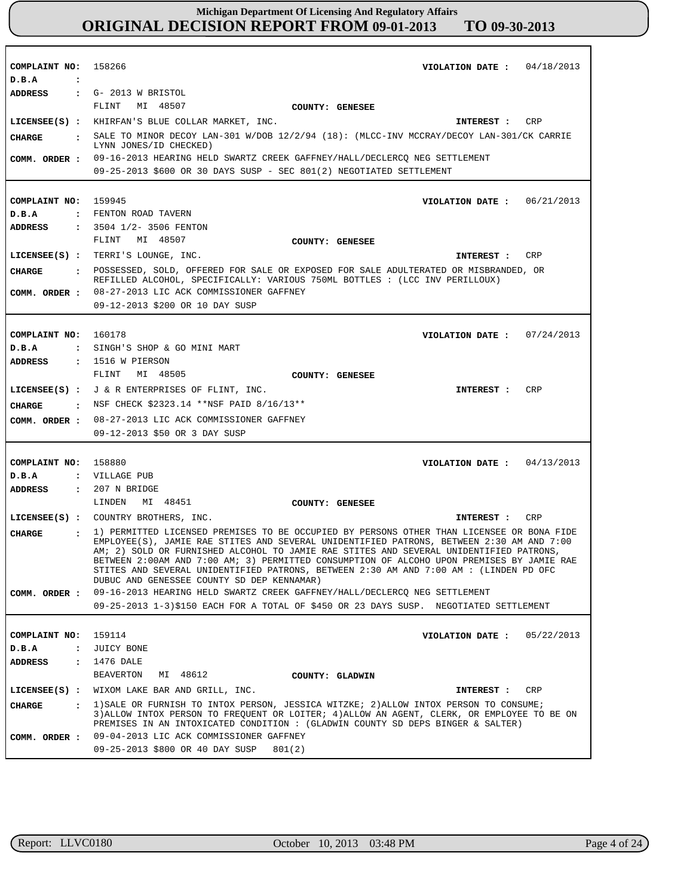| COMPLAINT NO: 158266<br>D.B.A<br>$\ddot{\phantom{a}}$ | VIOLATION DATE: $04/18/2013$                                                                                                                                                           |
|-------------------------------------------------------|----------------------------------------------------------------------------------------------------------------------------------------------------------------------------------------|
| ADDRESS                                               | $\cdot$ G- 2013 W BRISTOL                                                                                                                                                              |
|                                                       | FLINT<br>MI 48507<br>COUNTY: GENESEE                                                                                                                                                   |
|                                                       | LICENSEE(S) : KHIRFAN'S BLUE COLLAR MARKET, INC.<br>CRP<br>INTEREST :                                                                                                                  |
| CHARGE                                                | . SALE TO MINOR DECOY LAN-301 W/DOB 12/2/94 (18): (MLCC-INV MCCRAY/DECOY LAN-301/CK CARRIE                                                                                             |
|                                                       | LYNN JONES/ID CHECKED)                                                                                                                                                                 |
| COMM. ORDER :                                         | 09-16-2013 HEARING HELD SWARTZ CREEK GAFFNEY/HALL/DECLERCQ NEG SETTLEMENT                                                                                                              |
|                                                       | 09-25-2013 \$600 OR 30 DAYS SUSP - SEC 801(2) NEGOTIATED SETTLEMENT                                                                                                                    |
|                                                       |                                                                                                                                                                                        |
| COMPLAINT NO: 159945                                  | VIOLATION DATE: $06/21/2013$                                                                                                                                                           |
| D.B.A                                                 | : FENTON ROAD TAVERN                                                                                                                                                                   |
| ADDRESS                                               | $: 3504$ $1/2 - 3506$ FENTON                                                                                                                                                           |
|                                                       | FLINT MI 48507<br>COUNTY: GENESEE                                                                                                                                                      |
|                                                       | LICENSEE(S) : TERRI'S LOUNGE, INC.<br>CRP<br>INTEREST :                                                                                                                                |
| <b>CHARGE</b>                                         | : POSSESSED, SOLD, OFFERED FOR SALE OR EXPOSED FOR SALE ADULTERATED OR MISBRANDED, OR                                                                                                  |
|                                                       | REFILLED ALCOHOL, SPECIFICALLY: VARIOUS 750ML BOTTLES : (LCC INV PERILLOUX)                                                                                                            |
| COMM. ORDER :                                         | 08-27-2013 LIC ACK COMMISSIONER GAFFNEY                                                                                                                                                |
|                                                       | 09-12-2013 \$200 OR 10 DAY SUSP                                                                                                                                                        |
|                                                       |                                                                                                                                                                                        |
| COMPLAINT NO: 160178                                  | VIOLATION DATE: $07/24/2013$                                                                                                                                                           |
| D.B.A                                                 | : SINGH'S SHOP & GO MINI MART                                                                                                                                                          |
| ADDRESS                                               | $: 1516$ W PIERSON                                                                                                                                                                     |
|                                                       | FLINT MI 48505<br><b>COUNTY: GENESEE</b>                                                                                                                                               |
|                                                       | LICENSEE(S) : J & R ENTERPRISES OF FLINT, INC.<br>CRP<br>INTEREST :                                                                                                                    |
|                                                       | CHARGE : NSF CHECK \$2323.14 ** NSF PAID 8/16/13 **                                                                                                                                    |
| COMM. ORDER :                                         | 08-27-2013 LIC ACK COMMISSIONER GAFFNEY                                                                                                                                                |
|                                                       | 09-12-2013 \$50 OR 3 DAY SUSP                                                                                                                                                          |
|                                                       |                                                                                                                                                                                        |
| COMPLAINT NO: 158880                                  | VIOLATION DATE: $04/13/2013$                                                                                                                                                           |
| D.B.A                                                 | : VILLAGE PUB                                                                                                                                                                          |
| ADDRESS                                               | : 207 N BRIDGE                                                                                                                                                                         |
|                                                       | LINDEN<br>MI 48451<br>COUNTY: GENESEE                                                                                                                                                  |
|                                                       | LICENSEE(S) : COUNTRY BROTHERS, INC.<br><b>CRP</b><br>INTEREST :                                                                                                                       |
| <b>CIIARGE</b><br>$\sim$ $\sim$                       | 1) PERMITTED LICENSED PREMISES TO BE OCCUPIED BY PERSONS OTHER THAN LICENSEE OR BONA FIDE                                                                                              |
|                                                       | EMPLOYEE(S), JAMIE RAE STITES AND SEVERAL UNIDENTIFIED PATRONS, BETWEEN 2:30 AM AND 7:00                                                                                               |
|                                                       | AM; 2) SOLD OR FURNISHED ALCOHOL TO JAMIE RAE STITES AND SEVERAL UNIDENTIFIED PATRONS,<br>BETWEEN 2:00AM AND 7:00 AM; 3) PERMITTED CONSUMPTION OF ALCOHO UPON PREMISES BY JAMIE RAE    |
|                                                       | STITES AND SEVERAL UNIDENTIFIED PATRONS, BETWEEN 2:30 AM AND 7:00 AM : (LINDEN PD OFC                                                                                                  |
|                                                       | DUBUC AND GENESSEE COUNTY SD DEP KENNAMAR)                                                                                                                                             |
| COMM. ORDER :                                         | 09-16-2013 HEARING HELD SWARTZ CREEK GAFFNEY/HALL/DECLERCQ NEG SETTLEMENT                                                                                                              |
|                                                       | 09-25-2013 1-3)\$150 EACH FOR A TOTAL OF \$450 OR 23 DAYS SUSP. NEGOTIATED SETTLEMENT                                                                                                  |
|                                                       |                                                                                                                                                                                        |
| COMPLAINT NO:                                         | 159114<br>VIOLATION DATE: $05/22/2013$                                                                                                                                                 |
| $\ddot{\phantom{a}}$<br>D.B.A                         | JUICY BONE                                                                                                                                                                             |
| <b>ADDRESS</b>                                        | : 1476 DALE                                                                                                                                                                            |
|                                                       | MI 48612<br>BEAVERTON<br>COUNTY: GLADWIN                                                                                                                                               |
|                                                       | LICENSEE(S) : WIXOM LAKE BAR AND GRILL, INC.<br>CRP<br>INTEREST :                                                                                                                      |
| <b>CHARGE</b>                                         | : 1) SALE OR FURNISH TO INTOX PERSON, JESSICA WITZKE; 2) ALLOW INTOX PERSON TO CONSUME;<br>3) ALLOW INTOX PERSON TO FREQUENT OR LOITER; 4) ALLOW AN AGENT, CLERK, OR EMPLOYEE TO BE ON |
|                                                       | PREMISES IN AN INTOXICATED CONDITION : (GLADWIN COUNTY SD DEPS BINGER & SALTER)                                                                                                        |
|                                                       |                                                                                                                                                                                        |
| COMM. ORDER :                                         | 09-04-2013 LIC ACK COMMISSIONER GAFFNEY                                                                                                                                                |

r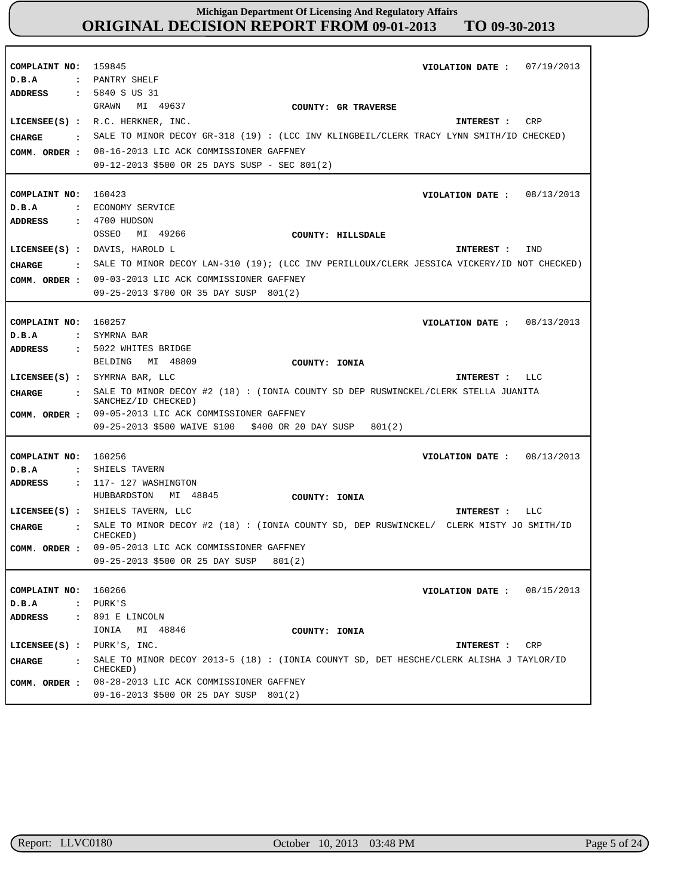| COMPLAINT NO:<br>D.B.A<br><b>ADDRESS</b><br><b>CHARGE</b><br>$\sim$ $\sim$<br>COMM. ORDER :                | VIOLATION DATE: $07/19/2013$<br>159845<br>: PANTRY SHELF<br>: 5840 S US 31<br>GRAWN<br>MI 49637<br>COUNTY: GR TRAVERSE<br>LICENSEE(S) : R.C. HERKNER, INC.<br>CRP<br>INTEREST :<br>SALE TO MINOR DECOY GR-318 (19) : (LCC INV KLINGBEIL/CLERK TRACY LYNN SMITH/ID CHECKED)<br>08-16-2013 LIC ACK COMMISSIONER GAFFNEY<br>09-12-2013 \$500 OR 25 DAYS SUSP - SEC 801(2)                |
|------------------------------------------------------------------------------------------------------------|---------------------------------------------------------------------------------------------------------------------------------------------------------------------------------------------------------------------------------------------------------------------------------------------------------------------------------------------------------------------------------------|
| COMPLAINT NO: 160423<br>D.B.A<br>ADDRESS<br><b>CHARGE</b><br>COMM. ORDER :                                 | VIOLATION DATE: $08/13/2013$<br>: ECONOMY SERVICE<br>: 4700 HUDSON<br>MI 49266<br>OSSEO<br>COUNTY: HILLSDALE<br>LICENSEE(S) : DAVIS, HAROLD L<br>IND<br>INTEREST :<br>: SALE TO MINOR DECOY LAN-310 (19); (LCC INV PERILLOUX/CLERK JESSICA VICKERY/ID NOT CHECKED)<br>09-03-2013 LIC ACK COMMISSIONER GAFFNEY                                                                         |
|                                                                                                            | 09-25-2013 \$700 OR 35 DAY SUSP 801(2)                                                                                                                                                                                                                                                                                                                                                |
| COMPLAINT NO:<br>D.B.A<br><b>ADDRESS</b><br>CIIARGE<br>$\sim$ 100 $\sim$                                   | 160257<br>VIOLATION DATE: $08/13/2013$<br>: SYMRNA BAR<br>: 5022 WHITES BRIDGE<br>BELDING MI 48809<br>COUNTY: IONIA<br>LICENSEE(S) : SYMRNA BAR, LLC<br>INTEREST : LLC<br>SALE TO MINOR DECOY #2 (18) : (IONIA COUNTY SD DEP RUSWINCKEL/CLERK STELLA JUANITA<br>SANCHEZ/ID CHECKED)                                                                                                   |
| COMM. ORDER :                                                                                              | 09-05-2013 LIC ACK COMMISSIONER GAFFNEY<br>09-25-2013 \$500 WAIVE \$100<br>\$400 OR 20 DAY SUSP<br>801(2)                                                                                                                                                                                                                                                                             |
| COMPLAINT NO:<br>D.B.A<br>$\mathbf{z}$<br><b>ADDRESS</b><br><b>CHARGE</b><br>$\mathbf{r}$<br>COMM. ORDER : | 160256<br>VIOLATION DATE: $08/13/2013$<br>SHIELS TAVERN<br>$: 117-127$ WASHINGTON<br>HUBBARDSTON<br>MI 48845<br>COUNTY: IONIA<br>LICENSEE(S) : SHIELS TAVERN, LLC<br>LLC<br>INTEREST :<br>SALE TO MINOR DECOY #2 (18) : (IONIA COUNTY SD, DEP RUSWINCKEL/ CLERK MISTY JO SMITH/ID<br>CHECKED)<br>09-05-2013 LIC ACK COMMISSIONER GAFFNEY<br>09-25-2013 \$500 OR 25 DAY SUSP<br>801(2) |
| COMPLAINT NO:<br>D.B.A<br>ADDRESS                                                                          | 160266<br>08/15/2013<br>VIOLATION DATE :<br>: PURK'S<br>: 891 E LINCOLN<br>IONIA<br>MI 48846<br>COUNTY: IONIA                                                                                                                                                                                                                                                                         |
| $LICENSEE(S)$ :<br>CHARGE<br>$\sim$ $\sim$ $\sim$<br>COMM. ORDER :                                         | PURK'S, INC.<br>CRP<br>INTEREST :<br>SALE TO MINOR DECOY 2013-5 (18): (IONIA COUNYT SD, DET HESCHE/CLERK ALISHA J TAYLOR/ID<br>CHECKED)<br>08-28-2013 LIC ACK COMMISSIONER GAFFNEY<br>09-16-2013 \$500 OR 25 DAY SUSP 801(2)                                                                                                                                                          |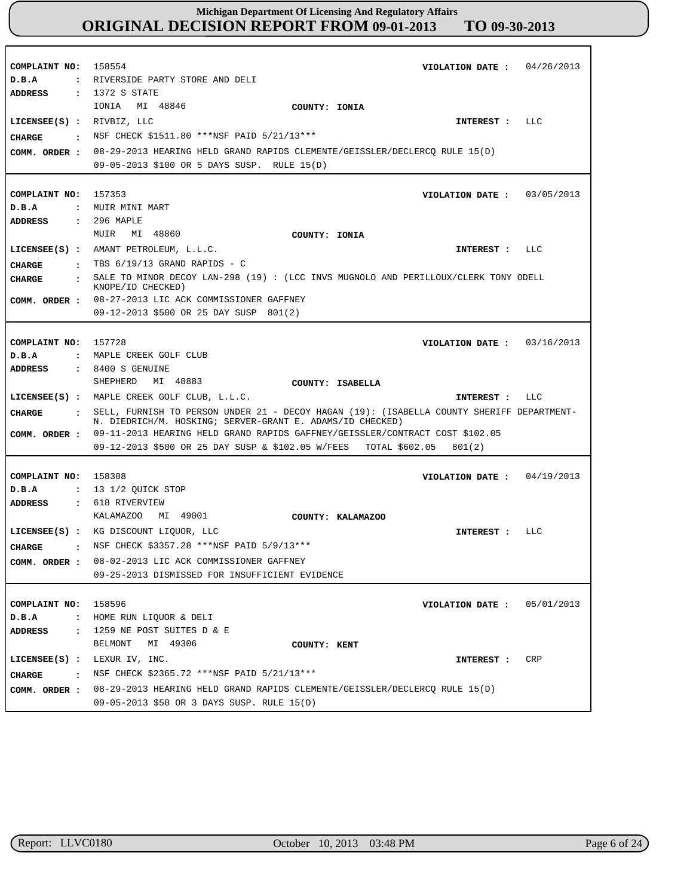| COMPLAINT NO:                         | 158554<br>04/26/2013<br>VIOLATION DATE :                                                                                                                 |
|---------------------------------------|----------------------------------------------------------------------------------------------------------------------------------------------------------|
| D.B.A                                 | : RIVERSIDE PARTY STORE AND DELI                                                                                                                         |
| <b>ADDRESS</b>                        | : 1372 S STATE                                                                                                                                           |
|                                       | IONIA<br>MI 48846<br>COUNTY: IONIA                                                                                                                       |
| LICENSEE(S) : RIVBIZ, LLC             | LLC<br>INTEREST :                                                                                                                                        |
| <b>CHARGE</b><br>$\sim$ $\sim$ $\sim$ | NSF CHECK \$1511.80 ***NSF PAID 5/21/13***                                                                                                               |
|                                       | 08-29-2013 HEARING HELD GRAND RAPIDS CLEMENTE/GEISSLER/DECLERCQ RULE 15(D)                                                                               |
| COMM. ORDER :                         | 09-05-2013 \$100 OR 5 DAYS SUSP. RULE 15(D)                                                                                                              |
|                                       |                                                                                                                                                          |
| COMPLAINT NO: 157353                  | VIOLATION DATE: $03/05/2013$                                                                                                                             |
| D.B.A                                 | : MUIR MINI MART                                                                                                                                         |
| <b>ADDRESS</b>                        | : 296 MAPLE                                                                                                                                              |
|                                       | MI 48860<br>MUIR<br>COUNTY: IONIA                                                                                                                        |
|                                       | $LICENSEE(S)$ : AMANT PETROLEUM, $L.L.C.$<br>INTEREST :<br>LLC                                                                                           |
|                                       | $\cdot$ TBS 6/19/13 GRAND RAPIDS - C                                                                                                                     |
| CHARGE                                | SALE TO MINOR DECOY LAN-298 (19) : (LCC INVS MUGNOLO AND PERILLOUX/CLERK TONY ODELL                                                                      |
| <b>CHARGE</b><br>$\ddot{\phantom{a}}$ | KNOPE/ID CHECKED)                                                                                                                                        |
|                                       | COMM. ORDER : 08-27-2013 LIC ACK COMMISSIONER GAFFNEY                                                                                                    |
|                                       | 09-12-2013 \$500 OR 25 DAY SUSP 801(2)                                                                                                                   |
|                                       |                                                                                                                                                          |
| COMPLAINT NO: 157728                  | VIOLATION DATE: $03/16/2013$                                                                                                                             |
| D.B.A                                 | : MAPLE CREEK GOLF CLUB                                                                                                                                  |
| <b>ADDRESS</b>                        | $: 8400 S$ GENUINE                                                                                                                                       |
|                                       | MI 48883<br>SHEPHERD<br>COUNTY: ISABELLA                                                                                                                 |
|                                       | LICENSEE(S) : MAPLE CREEK GOLF CLUB, L.L.C.<br>INTEREST : LLC                                                                                            |
| CHARGE                                | . SELL, FURNISH TO PERSON UNDER 21 - DECOY HAGAN (19): (ISABELLA COUNTY SHERIFF DEPARTMENT-<br>N. DIEDRICH/M. HOSKING; SERVER-GRANT E. ADAMS/ID CHECKED) |
| COMM. ORDER :                         | 09-11-2013 HEARING HELD GRAND RAPIDS GAFFNEY/GEISSLER/CONTRACT COST \$102.05                                                                             |
|                                       | 09-12-2013 \$500 OR 25 DAY SUSP & \$102.05 W/FEES<br>TOTAL \$602.05<br>801(2)                                                                            |
|                                       |                                                                                                                                                          |
| COMPLAINT NO: 158308                  | VIOLATION DATE: $04/19/2013$                                                                                                                             |
| D.B.A                                 | : 13 1/2 QUICK STOP                                                                                                                                      |
| <b>ADDRESS</b>                        | : 618 RIVERVIEW                                                                                                                                          |
|                                       | MI 49001<br>KALAMAZOO<br>COUNTY: KALAMAZOO                                                                                                               |
|                                       | LICENSEE(S) : KG DISCOUNT LIQUOR, LLC<br>LLC<br>INTEREST :                                                                                               |
| <b>CIIARGE</b>                        | : NSF CHECK \$3357.28 ***NSF PAID 5/9/13***                                                                                                              |
| COMM. ORDER :                         | 08-02-2013 LIC ACK COMMISSIONER GAFFNEY                                                                                                                  |
|                                       | 09-25-2013 DISMISSED FOR INSUFFICIENT EVIDENCE                                                                                                           |
|                                       |                                                                                                                                                          |
| COMPLAINT NO:                         | 158596<br>05/01/2013<br>VIOLATION DATE :                                                                                                                 |
| $D$ . B. A<br>$\ddot{\phantom{a}}$    | HOME RUN LIQUOR & DELI                                                                                                                                   |
| <b>ADDRESS</b><br>$\mathbf{r}$        | 1259 NE POST SUITES D & E                                                                                                                                |
|                                       | MI 49306<br>BELMONT<br>COUNTY: KENT                                                                                                                      |
| $LICENSEE(S)$ :                       | LEXUR IV, INC.<br>CRP<br>INTEREST :                                                                                                                      |
| <b>CHARGE</b><br>$\sim$ $\sim$ $\sim$ | NSF CHECK \$2365.72 ***NSF PAID 5/21/13***                                                                                                               |
| COMM. ORDER :                         | 08-29-2013 HEARING HELD GRAND RAPIDS CLEMENTE/GEISSLER/DECLERCO RULE 15(D)                                                                               |
|                                       | 09-05-2013 \$50 OR 3 DAYS SUSP. RULE 15(D)                                                                                                               |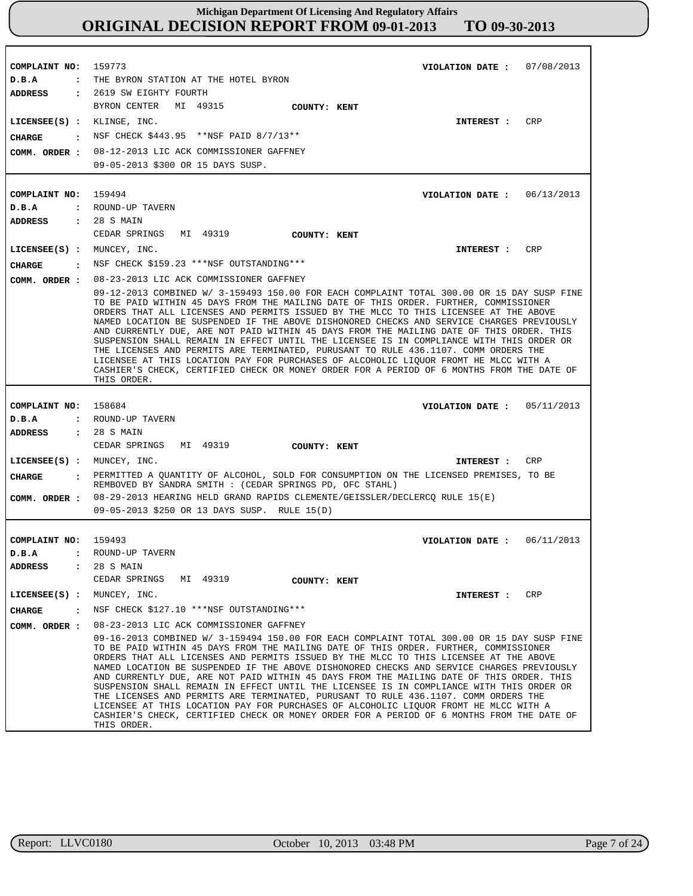**COMPLAINT NO: COMPLAINT NO:** 159494 **COMPLAINT NO: COMPLAINT NO:** 159773 158684 159493 **VIOLATION DATE : VIOLATION DATE :** 06/13/2013 **VIOLATION DATE : VIOLATION DATE :** 07/08/2013 05/11/2013 06/11/2013 **D.B.A : D.B.A : D.B.A : D.B.A :** THE BYRON STATION AT THE HOTEL BYRON ROUND-UP TAVERN ROUND-UP TAVERN ROUND-UP TAVERN **ADDRESS : ADDRESS : ADDRESS : ADDRESS :** 2619 SW EIGHTY FOURTH 28 S MAIN 28 S MAIN 28 S MAIN BYRON CENTER MI 49315 CEDAR SPRINGS MI 49319 CEDAR SPRINGS MI 49319 CEDAR SPRINGS MI 49319 08-12-2013 LIC ACK COMMISSIONER GAFFNEY 09-05-2013 \$300 OR 15 DAYS SUSP. 08-23-2013 LIC ACK COMMISSIONER GAFFNEY 09-12-2013 COMBINED W/ 3-159493 150.00 FOR EACH COMPLAINT TOTAL 300.00 OR 15 DAY SUSP FINE TO BE PAID WITHIN 45 DAYS FROM THE MAILING DATE OF THIS ORDER. FURTHER, COMMISSIONER ORDERS THAT ALL LICENSES AND PERMITS ISSUED BY THE MLCC TO THIS LICENSEE AT THE ABOVE NAMED LOCATION BE SUSPENDED IF THE ABOVE DISHONORED CHECKS AND SERVICE CHARGES PREVIOUSLY AND CURRENTLY DUE, ARE NOT PAID WITHIN 45 DAYS FROM THE MAILING DATE OF THIS ORDER. THIS SUSPENSION SHALL REMAIN IN EFFECT UNTIL THE LICENSEE IS IN COMPLIANCE WITH THIS ORDER OR THE LICENSES AND PERMITS ARE TERMINATED, PURUSANT TO RULE 436.1107. COMM ORDERS THE LICENSEE AT THIS LOCATION PAY FOR PURCHASES OF ALCOHOLIC LIQUOR FROMT HE MLCC WITH A CASHIER'S CHECK, CERTIFIED CHECK OR MONEY ORDER FOR A PERIOD OF 6 MONTHS FROM THE DATE OF THIS ORDER. 08-29-2013 HEARING HELD GRAND RAPIDS CLEMENTE/GEISSLER/DECLERCQ RULE 15(E) 09-05-2013 \$250 OR 13 DAYS SUSP. RULE 15(D) 08-23-2013 LIC ACK COMMISSIONER GAFFNEY **COMM. ORDER :** 09-16-2013 COMBINED W/ 3-159494 150.00 FOR EACH COMPLAINT TOTAL 300.00 OR 15 DAY SUSP FINE TO BE PAID WITHIN 45 DAYS FROM THE MAILING DATE OF THIS ORDER. FURTHER, COMMISSIONER ORDERS THAT ALL LICENSES AND PERMITS ISSUED BY THE MLCC TO THIS LICENSEE AT THE ABOVE NAMED LOCATION BE SUSPENDED IF THE ABOVE DISHONORED CHECKS AND SERVICE CHARGES PREVIOUSLY AND CURRENTLY DUE, ARE NOT PAID WITHIN 45 DAYS FROM THE MAILING DATE OF THIS ORDER. THIS SUSPENSION SHALL REMAIN IN EFFECT UNTIL THE LICENSEE IS IN COMPLIANCE WITH THIS ORDER OR THE LICENSES AND PERMITS ARE TERMINATED, PURUSANT TO RULE 436.1107. COMM ORDERS THE LICENSEE AT THIS LOCATION PAY FOR PURCHASES OF ALCOHOLIC LIQUOR FROMT HE MLCC WITH A CASHIER'S CHECK, CERTIFIED CHECK OR MONEY ORDER FOR A PERIOD OF 6 MONTHS FROM THE DATE OF THIS ORDER. **LICENSEE(S) :** KLINGE, INC. **LICENSEE(S) :** MUNCEY, INC. **LICENSEE(S) :** MUNCEY, INC. **LICENSEE(S) :** MUNCEY, INC. CRP CR<sub>P</sub> CRP CRP **CHARGE : CHARGE : CHARGE : CHARGE :** NSF CHECK \$443.95 \*\*NSF PAID 8/7/13\*\* NSF CHECK \$159.23 \*\*\*NSF OUTSTANDING\*\*\* PERMITTED A QUANTITY OF ALCOHOL, SOLD FOR CONSUMPTION ON THE LICENSED PREMISES, TO BE REMBOVED BY SANDRA SMITH : (CEDAR SPRINGS PD, OFC STAHL) NSF CHECK \$127.10 \*\*\*NSF OUTSTANDING\*\*\* **INTEREST : INTEREST : INTEREST : INTEREST : COMM. ORDER : COMM. ORDER : COMM. ORDER : COUNTY: KENT COUNTY: KENT COUNTY: KENT COUNTY: KENT**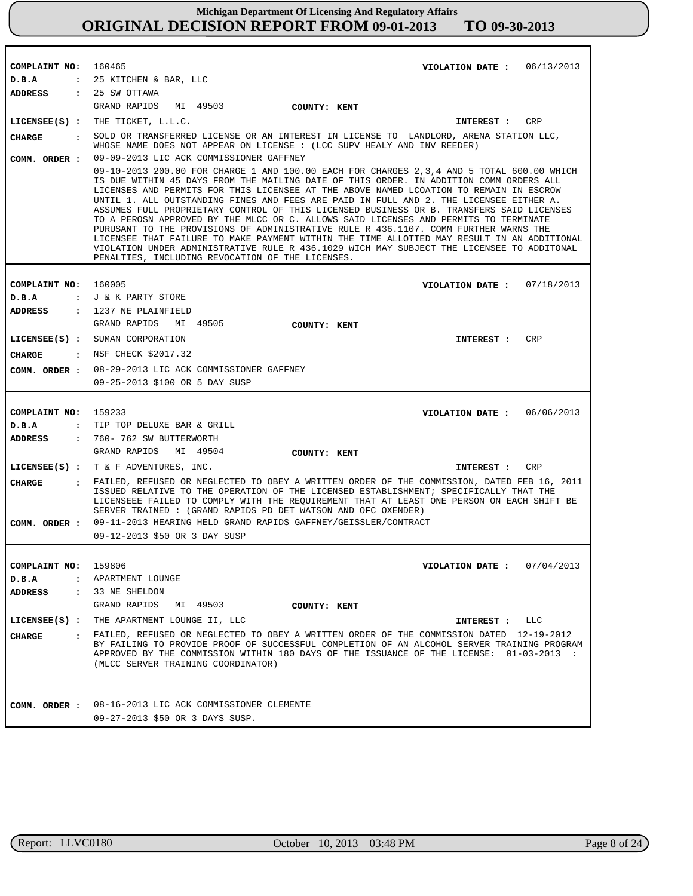| COMPLAINT NO: 160465          |                                                                                                                                                                                                                                                                                                                                                                                                                                                                                                                                                                                                                                                                                                                                                                                                                                                                                                    | VIOLATION DATE: $06/13/2013$  |     |
|-------------------------------|----------------------------------------------------------------------------------------------------------------------------------------------------------------------------------------------------------------------------------------------------------------------------------------------------------------------------------------------------------------------------------------------------------------------------------------------------------------------------------------------------------------------------------------------------------------------------------------------------------------------------------------------------------------------------------------------------------------------------------------------------------------------------------------------------------------------------------------------------------------------------------------------------|-------------------------------|-----|
| D.B.A                         | : 25 KITCHEN & BAR, LLC                                                                                                                                                                                                                                                                                                                                                                                                                                                                                                                                                                                                                                                                                                                                                                                                                                                                            |                               |     |
| <b>ADDRESS</b>                | $: 25$ SW OTTAWA                                                                                                                                                                                                                                                                                                                                                                                                                                                                                                                                                                                                                                                                                                                                                                                                                                                                                   |                               |     |
|                               | GRAND RAPIDS MI 49503<br><b>COUNTY: KENT</b>                                                                                                                                                                                                                                                                                                                                                                                                                                                                                                                                                                                                                                                                                                                                                                                                                                                       |                               |     |
|                               | LICENSEE $(s)$ : THE TICKET, $L.L.C.$                                                                                                                                                                                                                                                                                                                                                                                                                                                                                                                                                                                                                                                                                                                                                                                                                                                              | <b>INTEREST :</b>             | CRP |
| <b>CHARGE</b><br>$\mathbf{r}$ | SOLD OR TRANSFERRED LICENSE OR AN INTEREST IN LICENSE TO LANDLORD, ARENA STATION LLC,                                                                                                                                                                                                                                                                                                                                                                                                                                                                                                                                                                                                                                                                                                                                                                                                              |                               |     |
|                               | WHOSE NAME DOES NOT APPEAR ON LICENSE : (LCC SUPV HEALY AND INV REEDER)                                                                                                                                                                                                                                                                                                                                                                                                                                                                                                                                                                                                                                                                                                                                                                                                                            |                               |     |
| COMM. ORDER :                 | 09-09-2013 LIC ACK COMMISSIONER GAFFNEY                                                                                                                                                                                                                                                                                                                                                                                                                                                                                                                                                                                                                                                                                                                                                                                                                                                            |                               |     |
|                               | 09-10-2013 200.00 FOR CHARGE 1 AND 100.00 EACH FOR CHARGES 2,3,4 AND 5 TOTAL 600.00 WHICH<br>IS DUE WITHIN 45 DAYS FROM THE MAILING DATE OF THIS ORDER. IN ADDITION COMM ORDERS ALL<br>LICENSES AND PERMITS FOR THIS LICENSEE AT THE ABOVE NAMED LCOATION TO REMAIN IN ESCROW<br>UNTIL 1. ALL OUTSTANDING FINES AND FEES ARE PAID IN FULL AND 2. THE LICENSEE EITHER A.<br>ASSUMES FULL PROPRIETARY CONTROL OF THIS LICENSED BUSINESS OR B. TRANSFERS SAID LICENSES<br>TO A PEROSN APPROVED BY THE MLCC OR C. ALLOWS SAID LICENSES AND PERMITS TO TERMINATE<br>PURUSANT TO THE PROVISIONS OF ADMINISTRATIVE RULE R 436.1107. COMM FURTHER WARNS THE<br>LICENSEE THAT FAILURE TO MAKE PAYMENT WITHIN THE TIME ALLOTTED MAY RESULT IN AN ADDITIONAL<br>VIOLATION UNDER ADMINISTRATIVE RULE R 436.1029 WICH MAY SUBJECT THE LICENSEE TO ADDITONAL<br>PENALTIES, INCLUDING REVOCATION OF THE LICENSES. |                               |     |
|                               |                                                                                                                                                                                                                                                                                                                                                                                                                                                                                                                                                                                                                                                                                                                                                                                                                                                                                                    |                               |     |
| COMPLAINT NO: 160005<br>D.B.A | : J & K PARTY STORE                                                                                                                                                                                                                                                                                                                                                                                                                                                                                                                                                                                                                                                                                                                                                                                                                                                                                | VIOLATION DATE: $07/18/2013$  |     |
|                               | ADDRESS : 1237 NE PLAINFIELD                                                                                                                                                                                                                                                                                                                                                                                                                                                                                                                                                                                                                                                                                                                                                                                                                                                                       |                               |     |
|                               | GRAND RAPIDS MI 49505<br><b>COUNTY: KENT</b>                                                                                                                                                                                                                                                                                                                                                                                                                                                                                                                                                                                                                                                                                                                                                                                                                                                       |                               |     |
|                               | LICENSEE(S) : SUMAN CORPORATION                                                                                                                                                                                                                                                                                                                                                                                                                                                                                                                                                                                                                                                                                                                                                                                                                                                                    |                               | CRP |
|                               |                                                                                                                                                                                                                                                                                                                                                                                                                                                                                                                                                                                                                                                                                                                                                                                                                                                                                                    | INTEREST :                    |     |
| CHARGE                        | $:$ NSF CHECK \$2017.32                                                                                                                                                                                                                                                                                                                                                                                                                                                                                                                                                                                                                                                                                                                                                                                                                                                                            |                               |     |
|                               | COMM. ORDER : 08-29-2013 LIC ACK COMMISSIONER GAFFNEY                                                                                                                                                                                                                                                                                                                                                                                                                                                                                                                                                                                                                                                                                                                                                                                                                                              |                               |     |
|                               | 09-25-2013 \$100 OR 5 DAY SUSP                                                                                                                                                                                                                                                                                                                                                                                                                                                                                                                                                                                                                                                                                                                                                                                                                                                                     |                               |     |
|                               |                                                                                                                                                                                                                                                                                                                                                                                                                                                                                                                                                                                                                                                                                                                                                                                                                                                                                                    |                               |     |
|                               |                                                                                                                                                                                                                                                                                                                                                                                                                                                                                                                                                                                                                                                                                                                                                                                                                                                                                                    |                               |     |
| COMPLAINT NO: 159233          |                                                                                                                                                                                                                                                                                                                                                                                                                                                                                                                                                                                                                                                                                                                                                                                                                                                                                                    | VIOLATION DATE : $06/06/2013$ |     |
| D.B.A                         | : TIP TOP DELUXE BAR & GRILL                                                                                                                                                                                                                                                                                                                                                                                                                                                                                                                                                                                                                                                                                                                                                                                                                                                                       |                               |     |
| ADDRESS                       | : 760- 762 SW BUTTERWORTH                                                                                                                                                                                                                                                                                                                                                                                                                                                                                                                                                                                                                                                                                                                                                                                                                                                                          |                               |     |
|                               | GRAND RAPIDS MI 49504<br>COUNTY: KENT                                                                                                                                                                                                                                                                                                                                                                                                                                                                                                                                                                                                                                                                                                                                                                                                                                                              |                               |     |
|                               | LICENSEE(S) : $T & F$ ADVENTURES, INC.                                                                                                                                                                                                                                                                                                                                                                                                                                                                                                                                                                                                                                                                                                                                                                                                                                                             | INTEREST :                    | CRP |
| <b>CHARGE</b>                 | : FAILED, REFUSED OR NEGLECTED TO OBEY A WRITTEN ORDER OF THE COMMISSION, DATED FEB 16, 2011<br>ISSUED RELATIVE TO THE OPERATION OF THE LICENSED ESTABLISHMENT; SPECIFICALLY THAT THE<br>LICENSEEE FAILED TO COMPLY WITH THE REQUIREMENT THAT AT LEAST ONE PERSON ON EACH SHIFT BE<br>SERVER TRAINED : (GRAND RAPIDS PD DET WATSON AND OFC OXENDER)<br>09-11-2013 HEARING HELD GRAND RAPIDS GAFFNEY/GEISSLER/CONTRACT                                                                                                                                                                                                                                                                                                                                                                                                                                                                              |                               |     |
| COMM. ORDER :                 | 09-12-2013 \$50 OR 3 DAY SUSP                                                                                                                                                                                                                                                                                                                                                                                                                                                                                                                                                                                                                                                                                                                                                                                                                                                                      |                               |     |
|                               |                                                                                                                                                                                                                                                                                                                                                                                                                                                                                                                                                                                                                                                                                                                                                                                                                                                                                                    |                               |     |
| COMPLAINT NO:                 | 159806                                                                                                                                                                                                                                                                                                                                                                                                                                                                                                                                                                                                                                                                                                                                                                                                                                                                                             | VIOLATION DATE: $07/04/2013$  |     |
| D.B.A                         | : APARTMENT LOUNGE                                                                                                                                                                                                                                                                                                                                                                                                                                                                                                                                                                                                                                                                                                                                                                                                                                                                                 |                               |     |
| <b>ADDRESS</b>                | : 33 NE SHELDON                                                                                                                                                                                                                                                                                                                                                                                                                                                                                                                                                                                                                                                                                                                                                                                                                                                                                    |                               |     |
|                               | GRAND RAPIDS MI 49503<br>COUNTY: KENT                                                                                                                                                                                                                                                                                                                                                                                                                                                                                                                                                                                                                                                                                                                                                                                                                                                              |                               |     |
|                               | LICENSEE(S) : THE APARTMENT LOUNGE II, LLC                                                                                                                                                                                                                                                                                                                                                                                                                                                                                                                                                                                                                                                                                                                                                                                                                                                         | INTEREST : LLC                |     |
| <b>CHARGE</b>                 | : FAILED, REFUSED OR NEGLECTED TO OBEY A WRITTEN ORDER OF THE COMMISSION DATED 12-19-2012                                                                                                                                                                                                                                                                                                                                                                                                                                                                                                                                                                                                                                                                                                                                                                                                          |                               |     |
|                               | BY FAILING TO PROVIDE PROOF OF SUCCESSFUL COMPLETION OF AN ALCOHOL SERVER TRAINING PROGRAM<br>APPROVED BY THE COMMISSION WITHIN 180 DAYS OF THE ISSUANCE OF THE LICENSE: 01-03-2013 :<br>(MLCC SERVER TRAINING COORDINATOR)                                                                                                                                                                                                                                                                                                                                                                                                                                                                                                                                                                                                                                                                        |                               |     |
|                               |                                                                                                                                                                                                                                                                                                                                                                                                                                                                                                                                                                                                                                                                                                                                                                                                                                                                                                    |                               |     |
|                               | COMM. ORDER : 08-16-2013 LIC ACK COMMISSIONER CLEMENTE<br>09-27-2013 \$50 OR 3 DAYS SUSP.                                                                                                                                                                                                                                                                                                                                                                                                                                                                                                                                                                                                                                                                                                                                                                                                          |                               |     |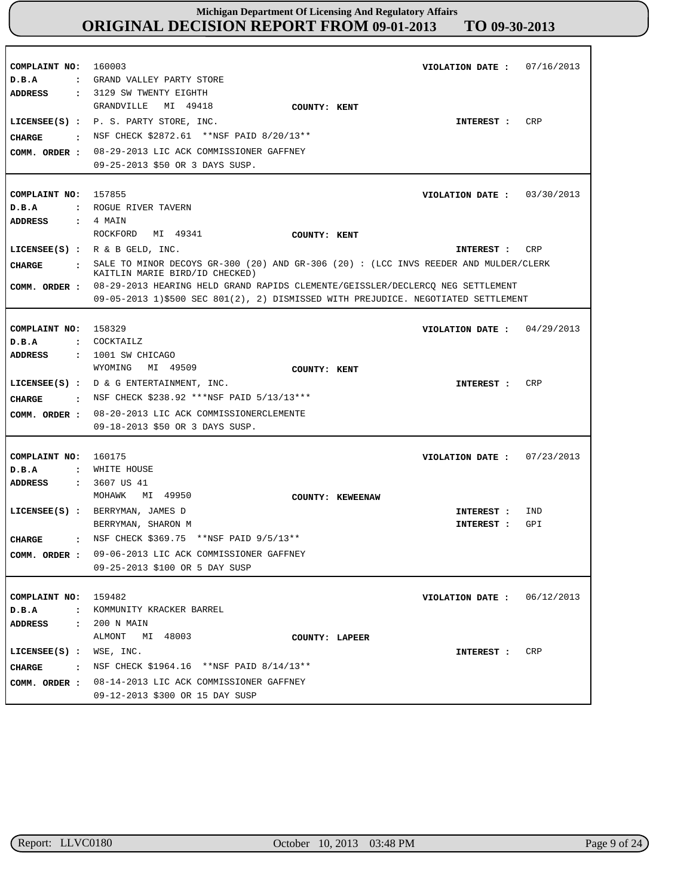| COMPLAINT NO:<br>D.B.A<br>$\mathbf{z}$<br>ADDRESS                                | 160003<br>VIOLATION DATE: $07/16/2013$<br>GRAND VALLEY PARTY STORE<br>: 3129 SW TWENTY EIGHTH                                                                                                                                                                                    |
|----------------------------------------------------------------------------------|----------------------------------------------------------------------------------------------------------------------------------------------------------------------------------------------------------------------------------------------------------------------------------|
| CHARGE<br>$\sim$ $\sim$ $\sim$ $\sim$ $\sim$<br>COMM. ORDER :                    | GRANDVILLE<br>MI 49418<br>COUNTY: KENT<br>CRP<br>$LICENSEE(S)$ : P. S. PARTY STORE, INC.<br>INTEREST :<br>NSF CHECK \$2872.61 **NSF PAID 8/20/13**<br>08-29-2013 LIC ACK COMMISSIONER GAFFNEY<br>09-25-2013 \$50 OR 3 DAYS SUSP.                                                 |
| COMPLAINT NO: 157855<br>D.B.A<br>ADDRESS                                         | VIOLATION DATE: $03/30/2013$<br>: ROGUE RIVER TAVERN<br>$: 4$ MAIN<br>ROCKFORD MI 49341<br>COUNTY: KENT                                                                                                                                                                          |
| <b>CHARGE</b>                                                                    | LICENSEE(S) : $R > B$ GELD, INC.<br>CRP<br>INTEREST :<br>: SALE TO MINOR DECOYS GR-300 (20) AND GR-306 (20): (LCC INVS REEDER AND MULDER/CLERK<br>KAITLIN MARIE BIRD/ID CHECKED)<br>COMM. ORDER : 08-29-2013 HEARING HELD GRAND RAPIDS CLEMENTE/GEISSLER/DECLERCQ NEG SETTLEMENT |
|                                                                                  | 09-05-2013 1)\$500 SEC 801(2), 2) DISMISSED WITH PREJUDICE. NEGOTIATED SETTLEMENT                                                                                                                                                                                                |
| COMPLAINT NO: 158329<br>D.B.A<br><b>ADDRESS</b>                                  | VIOLATION DATE: $04/29/2013$<br>: COCKTAILZ<br>: 1001 SW CHICAGO                                                                                                                                                                                                                 |
| <b>CHARGE</b>                                                                    | WYOMING MI 49509<br>COUNTY: KENT<br>CRP<br>LICENSEE(S) : $D \& G$ ENTERTAINMENT, INC.<br>INTEREST :<br>: NSF CHECK \$238.92 ***NSF PAID 5/13/13***                                                                                                                               |
| COMM. ORDER :                                                                    | 08-20-2013 LIC ACK COMMISSIONERCLEMENTE<br>09-18-2013 \$50 OR 3 DAYS SUSP.                                                                                                                                                                                                       |
| COMPLAINT NO:<br>D.B.A<br>ADDRESS                                                | 160175<br>VIOLATION DATE: $07/23/2013$<br>: WHITE HOUSE<br>: 3607 US 41                                                                                                                                                                                                          |
| <b>CHARGE</b>                                                                    | MOHAWK MI 49950<br>COUNTY: KEWEENAW<br>LICENSEE(S) : BERRYMAN, JAMES D<br>IND<br>INTEREST :<br>GPI<br>BERRYMAN, SHARON M<br>INTEREST :<br>: NSF CHECK \$369.75 ** NSF PAID 9/5/13**                                                                                              |
| COMM. ORDER :                                                                    | 09-06-2013 LIC ACK COMMISSIONER GAFFNEY<br>09-25-2013 \$100 OR 5 DAY SUSP                                                                                                                                                                                                        |
| COMPLAINT NO:<br>D.B.A<br>$\mathbf{z}$<br>ADDRESS                                | 159482<br>VIOLATION DATE: $06/12/2013$<br>KOMMUNITY KRACKER BARREL<br>: 200 N MAIN                                                                                                                                                                                               |
| $LICENSEE(S)$ :<br>CHARGE<br>$\sim$ $\sim$ $\sim$ $\sim$ $\sim$<br>COMM. ORDER : | ALMONT<br>MI 48003<br>COUNTY: LAPEER<br>WSE, INC.<br>CRP<br>INTEREST :<br>NSF CHECK \$1964.16 ** NSF PAID 8/14/13**<br>08-14-2013 LIC ACK COMMISSIONER GAFFNEY<br>09-12-2013 \$300 OR 15 DAY SUSP                                                                                |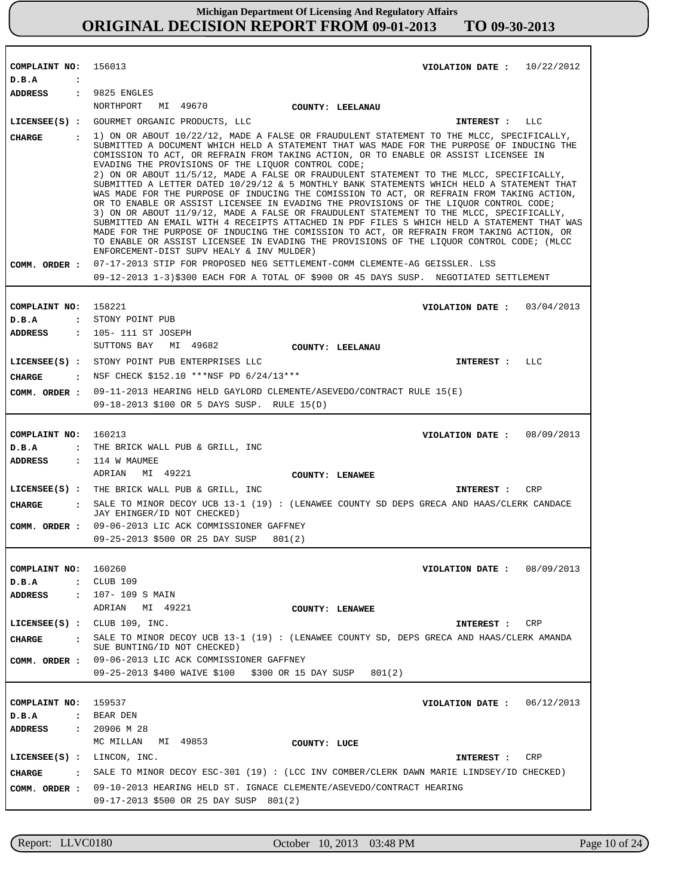| COMPLAINT NO:                                   | 156013<br>VIOLATION DATE: $10/22/2012$                                                                                                                                                                                                                                                                                                                                                                                                                                                                                                                                                                                                                                                                                                                                                                                                                                                                                                                                                                                                                                                                                                                                                                                       |
|-------------------------------------------------|------------------------------------------------------------------------------------------------------------------------------------------------------------------------------------------------------------------------------------------------------------------------------------------------------------------------------------------------------------------------------------------------------------------------------------------------------------------------------------------------------------------------------------------------------------------------------------------------------------------------------------------------------------------------------------------------------------------------------------------------------------------------------------------------------------------------------------------------------------------------------------------------------------------------------------------------------------------------------------------------------------------------------------------------------------------------------------------------------------------------------------------------------------------------------------------------------------------------------|
| D.B.A<br>$\ddot{\cdot}$                         |                                                                                                                                                                                                                                                                                                                                                                                                                                                                                                                                                                                                                                                                                                                                                                                                                                                                                                                                                                                                                                                                                                                                                                                                                              |
| ADDRESS : 9825 ENGLES                           |                                                                                                                                                                                                                                                                                                                                                                                                                                                                                                                                                                                                                                                                                                                                                                                                                                                                                                                                                                                                                                                                                                                                                                                                                              |
|                                                 | NORTHPORT MI 49670<br><b>COUNTY: LEELANAU</b>                                                                                                                                                                                                                                                                                                                                                                                                                                                                                                                                                                                                                                                                                                                                                                                                                                                                                                                                                                                                                                                                                                                                                                                |
|                                                 | LICENSEE(S) : GOURMET ORGANIC PRODUCTS, LLC<br>INTEREST : LLC                                                                                                                                                                                                                                                                                                                                                                                                                                                                                                                                                                                                                                                                                                                                                                                                                                                                                                                                                                                                                                                                                                                                                                |
| <b>CHARGE</b><br>$\sim$ $\sim$<br>COMM. ORDER : | 1) ON OR ABOUT 10/22/12, MADE A FALSE OR FRAUDULENT STATEMENT TO THE MLCC, SPECIFICALLY,<br>SUBMITTED A DOCUMENT WHICH HELD A STATEMENT THAT WAS MADE FOR THE PURPOSE OF INDUCING THE<br>COMISSION TO ACT, OR REFRAIN FROM TAKING ACTION, OR TO ENABLE OR ASSIST LICENSEE IN<br>EVADING THE PROVISIONS OF THE LIQUOR CONTROL CODE;<br>2) ON OR ABOUT 11/5/12, MADE A FALSE OR FRAUDULENT STATEMENT TO THE MLCC, SPECIFICALLY,<br>SUBMITTED A LETTER DATED 10/29/12 & 5 MONTHLY BANK STATEMENTS WHICH HELD A STATEMENT THAT<br>WAS MADE FOR THE PURPOSE OF INDUCING THE COMISSION TO ACT, OR REFRAIN FROM TAKING ACTION,<br>OR TO ENABLE OR ASSIST LICENSEE IN EVADING THE PROVISIONS OF THE LIQUOR CONTROL CODE;<br>3) ON OR ABOUT 11/9/12, MADE A FALSE OR FRAUDULENT STATEMENT TO THE MLCC, SPECIFICALLY,<br>SUBMITTED AN EMAIL WITH 4 RECEIPTS ATTACHED IN PDF FILES S WHICH HELD A STATEMENT THAT WAS<br>MADE FOR THE PURPOSE OF INDUCING THE COMISSION TO ACT, OR REFRAIN FROM TAKING ACTION, OR<br>TO ENABLE OR ASSIST LICENSEE IN EVADING THE PROVISIONS OF THE LIQUOR CONTROL CODE; (MLCC<br>ENFORCEMENT-DIST SUPV HEALY & INV MULDER)<br>07-17-2013 STIP FOR PROPOSED NEG SETTLEMENT-COMM CLEMENTE-AG GEISSLER. LSS |
|                                                 | 09-12-2013 1-3)\$300 EACH FOR A TOTAL OF \$900 OR 45 DAYS SUSP. NEGOTIATED SETTLEMENT                                                                                                                                                                                                                                                                                                                                                                                                                                                                                                                                                                                                                                                                                                                                                                                                                                                                                                                                                                                                                                                                                                                                        |
|                                                 |                                                                                                                                                                                                                                                                                                                                                                                                                                                                                                                                                                                                                                                                                                                                                                                                                                                                                                                                                                                                                                                                                                                                                                                                                              |
| COMPLAINT NO: 158221<br>D.B.A                   | VIOLATION DATE: $03/04/2013$<br>: STONY POINT PUB                                                                                                                                                                                                                                                                                                                                                                                                                                                                                                                                                                                                                                                                                                                                                                                                                                                                                                                                                                                                                                                                                                                                                                            |
| ADDRESS                                         | : 105-111 ST JOSEPH                                                                                                                                                                                                                                                                                                                                                                                                                                                                                                                                                                                                                                                                                                                                                                                                                                                                                                                                                                                                                                                                                                                                                                                                          |
|                                                 | SUTTONS BAY MI 49682<br>COUNTY: LEELANAU                                                                                                                                                                                                                                                                                                                                                                                                                                                                                                                                                                                                                                                                                                                                                                                                                                                                                                                                                                                                                                                                                                                                                                                     |
|                                                 | LICENSEE(S) : STONY POINT PUB ENTERPRISES LLC<br>INTEREST : LLC                                                                                                                                                                                                                                                                                                                                                                                                                                                                                                                                                                                                                                                                                                                                                                                                                                                                                                                                                                                                                                                                                                                                                              |
| CHARGE :                                        | NSF CHECK \$152.10 ***NSF PD 6/24/13***                                                                                                                                                                                                                                                                                                                                                                                                                                                                                                                                                                                                                                                                                                                                                                                                                                                                                                                                                                                                                                                                                                                                                                                      |
| COMM. ORDER :                                   | 09-11-2013 HEARING HELD GAYLORD CLEMENTE/ASEVEDO/CONTRACT RULE 15(E)                                                                                                                                                                                                                                                                                                                                                                                                                                                                                                                                                                                                                                                                                                                                                                                                                                                                                                                                                                                                                                                                                                                                                         |
|                                                 | 09-18-2013 \$100 OR 5 DAYS SUSP. RULE 15(D)                                                                                                                                                                                                                                                                                                                                                                                                                                                                                                                                                                                                                                                                                                                                                                                                                                                                                                                                                                                                                                                                                                                                                                                  |
|                                                 |                                                                                                                                                                                                                                                                                                                                                                                                                                                                                                                                                                                                                                                                                                                                                                                                                                                                                                                                                                                                                                                                                                                                                                                                                              |
| COMPLAINT NO: 160213                            | VIOLATION DATE: $08/09/2013$                                                                                                                                                                                                                                                                                                                                                                                                                                                                                                                                                                                                                                                                                                                                                                                                                                                                                                                                                                                                                                                                                                                                                                                                 |
| D.B.A                                           | : THE BRICK WALL PUB & GRILL, INC                                                                                                                                                                                                                                                                                                                                                                                                                                                                                                                                                                                                                                                                                                                                                                                                                                                                                                                                                                                                                                                                                                                                                                                            |
| ADDRESS : 114 W MAUMEE                          |                                                                                                                                                                                                                                                                                                                                                                                                                                                                                                                                                                                                                                                                                                                                                                                                                                                                                                                                                                                                                                                                                                                                                                                                                              |
|                                                 | MI 49221<br>ADRIAN<br>COUNTY: LENAWEE                                                                                                                                                                                                                                                                                                                                                                                                                                                                                                                                                                                                                                                                                                                                                                                                                                                                                                                                                                                                                                                                                                                                                                                        |
|                                                 | LICENSEE(S) : THE BRICK WALL PUB & GRILL, INC<br>CRP<br>INTEREST :                                                                                                                                                                                                                                                                                                                                                                                                                                                                                                                                                                                                                                                                                                                                                                                                                                                                                                                                                                                                                                                                                                                                                           |
| CIIARGE                                         | : SALE TO MINOR DECOY UCB 13-1 (19) : (LENAWEE COUNTY SD DEPS GRECA AND HAAS/CLERK CANDACE<br>JAY EHINGER/ID NOT CHECKED)                                                                                                                                                                                                                                                                                                                                                                                                                                                                                                                                                                                                                                                                                                                                                                                                                                                                                                                                                                                                                                                                                                    |
|                                                 | COMM. ORDER : 09-06-2013 LIC ACK COMMISSIONER GAFFNEY                                                                                                                                                                                                                                                                                                                                                                                                                                                                                                                                                                                                                                                                                                                                                                                                                                                                                                                                                                                                                                                                                                                                                                        |
|                                                 | 09-25-2013 \$500 OR 25 DAY SUSP 801(2)                                                                                                                                                                                                                                                                                                                                                                                                                                                                                                                                                                                                                                                                                                                                                                                                                                                                                                                                                                                                                                                                                                                                                                                       |
|                                                 |                                                                                                                                                                                                                                                                                                                                                                                                                                                                                                                                                                                                                                                                                                                                                                                                                                                                                                                                                                                                                                                                                                                                                                                                                              |
| COMPLAINT NO:                                   | VIOLATION DATE: $08/09/2013$<br>160260                                                                                                                                                                                                                                                                                                                                                                                                                                                                                                                                                                                                                                                                                                                                                                                                                                                                                                                                                                                                                                                                                                                                                                                       |
| D.B.A<br>$\mathbf{r}$                           | CLUB 109                                                                                                                                                                                                                                                                                                                                                                                                                                                                                                                                                                                                                                                                                                                                                                                                                                                                                                                                                                                                                                                                                                                                                                                                                     |
| ADDRESS                                         | : 107-109 S MAIN<br>ADRIAN MI 49221<br>COUNTY: LENAWEE                                                                                                                                                                                                                                                                                                                                                                                                                                                                                                                                                                                                                                                                                                                                                                                                                                                                                                                                                                                                                                                                                                                                                                       |
|                                                 | LICENSE (S) : <b>CLUB</b> 109, INC.<br>INTEREST : CRP                                                                                                                                                                                                                                                                                                                                                                                                                                                                                                                                                                                                                                                                                                                                                                                                                                                                                                                                                                                                                                                                                                                                                                        |
|                                                 | SALE TO MINOR DECOY UCB 13-1 (19) : (LENAWEE COUNTY SD, DEPS GRECA AND HAAS/CLERK AMANDA                                                                                                                                                                                                                                                                                                                                                                                                                                                                                                                                                                                                                                                                                                                                                                                                                                                                                                                                                                                                                                                                                                                                     |
| CHARGE                                          | SUE BUNTING/ID NOT CHECKED)                                                                                                                                                                                                                                                                                                                                                                                                                                                                                                                                                                                                                                                                                                                                                                                                                                                                                                                                                                                                                                                                                                                                                                                                  |
| COMM. ORDER :                                   | 09-06-2013 LIC ACK COMMISSIONER GAFFNEY<br>09-25-2013 \$400 WAIVE \$100 \$300 OR 15 DAY SUSP<br>801(2)                                                                                                                                                                                                                                                                                                                                                                                                                                                                                                                                                                                                                                                                                                                                                                                                                                                                                                                                                                                                                                                                                                                       |
|                                                 |                                                                                                                                                                                                                                                                                                                                                                                                                                                                                                                                                                                                                                                                                                                                                                                                                                                                                                                                                                                                                                                                                                                                                                                                                              |
| COMPLAINT NO:                                   | 159537<br>VIOLATION DATE: $06/12/2013$                                                                                                                                                                                                                                                                                                                                                                                                                                                                                                                                                                                                                                                                                                                                                                                                                                                                                                                                                                                                                                                                                                                                                                                       |
| D.B.A<br>$\ddot{\phantom{a}}$                   | BEAR DEN                                                                                                                                                                                                                                                                                                                                                                                                                                                                                                                                                                                                                                                                                                                                                                                                                                                                                                                                                                                                                                                                                                                                                                                                                     |
| <b>ADDRESS</b><br>$\ddot{\phantom{a}}$          | 20906 M 28                                                                                                                                                                                                                                                                                                                                                                                                                                                                                                                                                                                                                                                                                                                                                                                                                                                                                                                                                                                                                                                                                                                                                                                                                   |
|                                                 | MC MILLAN<br>MI 49853<br>COUNTY: LUCE                                                                                                                                                                                                                                                                                                                                                                                                                                                                                                                                                                                                                                                                                                                                                                                                                                                                                                                                                                                                                                                                                                                                                                                        |
| $LICENSEE(S)$ :                                 | CRP<br>LINCON, INC.<br>INTEREST :                                                                                                                                                                                                                                                                                                                                                                                                                                                                                                                                                                                                                                                                                                                                                                                                                                                                                                                                                                                                                                                                                                                                                                                            |
| <b>CHARGE</b>                                   | SALE TO MINOR DECOY ESC-301 (19): (LCC INV COMBER/CLERK DAWN MARIE LINDSEY/ID CHECKED)                                                                                                                                                                                                                                                                                                                                                                                                                                                                                                                                                                                                                                                                                                                                                                                                                                                                                                                                                                                                                                                                                                                                       |
| COMM. ORDER :                                   | 09-10-2013 HEARING HELD ST. IGNACE CLEMENTE/ASEVEDO/CONTRACT HEARING                                                                                                                                                                                                                                                                                                                                                                                                                                                                                                                                                                                                                                                                                                                                                                                                                                                                                                                                                                                                                                                                                                                                                         |
|                                                 | 09-17-2013 \$500 OR 25 DAY SUSP 801(2)                                                                                                                                                                                                                                                                                                                                                                                                                                                                                                                                                                                                                                                                                                                                                                                                                                                                                                                                                                                                                                                                                                                                                                                       |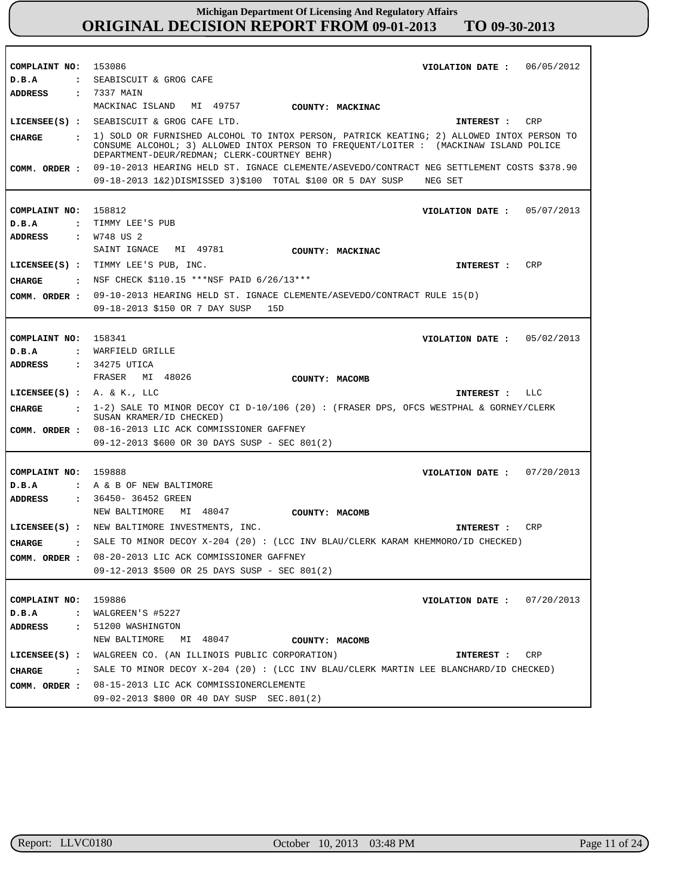| COMPLAINT NO:                 | 153086<br>VIOLATION DATE: 06/05/2012                                                                    |
|-------------------------------|---------------------------------------------------------------------------------------------------------|
| D.B.A<br>$\mathbf{r}$         | SEABISCUIT & GROG CAFE                                                                                  |
| ADDRESS                       | : 7337 MAIN                                                                                             |
|                               | MACKINAC ISLAND<br>MI 49757<br>COUNTY: MACKINAC                                                         |
|                               | LICENSEE(S) : SEABISCUIT & GROG CAFE LTD.<br>CRP<br>INTEREST :                                          |
| CHARGE                        | : 1) SOLD OR FURNISHED ALCOHOL TO INTOX PERSON, PATRICK KEATING; 2) ALLOWED INTOX PERSON TO             |
|                               | CONSUME ALCOHOL; 3) ALLOWED INTOX PERSON TO FREQUENT/LOITER: (MACKINAW ISLAND POLICE                    |
|                               | DEPARTMENT-DEUR/REDMAN; CLERK-COURTNEY BEHR)                                                            |
|                               | COMM. ORDER: 09-10-2013 HEARING HELD ST. IGNACE CLEMENTE/ASEVEDO/CONTRACT NEG SETTLEMENT COSTS \$378.90 |
|                               | 09-18-2013 1&2)DISMISSED 3)\$100 TOTAL \$100 OR 5 DAY SUSP<br>NEG SET                                   |
|                               |                                                                                                         |
| COMPLAINT NO:                 | 158812<br>VIOLATION DATE: 05/07/2013                                                                    |
| D.B.A                         | : TIMMY LEE'S PUB                                                                                       |
| ADDRESS                       | : W748 US 2                                                                                             |
|                               | SAINT IGNACE MI 49781<br>COUNTY: MACKINAC                                                               |
|                               | LICENSEE(S) : TIMMY LEE'S PUB, INC.<br>CRP<br><b>INTEREST :</b>                                         |
| <b>CHARGE</b>                 | . NSF CHECK \$110.15 ***NSF PAID 6/26/13***                                                             |
| COMM. ORDER :                 | 09-10-2013 HEARING HELD ST. IGNACE CLEMENTE/ASEVEDO/CONTRACT RULE 15(D)                                 |
|                               | 09-18-2013 \$150 OR 7 DAY SUSP<br>15D                                                                   |
|                               |                                                                                                         |
|                               |                                                                                                         |
| COMPLAINT NO: 158341          | 05/02/2013<br>VIOLATION DATE :                                                                          |
| D.B.A                         | : WARFIELD GRILLE                                                                                       |
| ADDRESS                       | : 34275 UTICA                                                                                           |
|                               | FRASER MI 48026<br>COUNTY: MACOMB                                                                       |
| LICENSEE(S) : $A. & K.$ , LLC | INTEREST : LLC                                                                                          |
| CIIARGE                       | $\,$ , 1-2) SALE TO MINOR DECOY CI D-10/106 (20) : (FRASER DPS, OFCS WESTPHAL & GORNEY/CLERK            |
|                               | SUSAN KRAMER/ID CHECKED)                                                                                |
|                               | COMM. ORDER : 08-16-2013 LIC ACK COMMISSIONER GAFFNEY                                                   |
|                               | 09-12-2013 \$600 OR 30 DAYS SUSP - SEC 801(2)                                                           |
|                               |                                                                                                         |
| COMPLAINT NO: 159888          | VIOLATION DATE: $07/20/2013$                                                                            |
| D.B.A                         | : A & B OF NEW BALTIMORE                                                                                |
| <b>ADDRESS</b>                | : 36450- 36452 GREEN                                                                                    |
|                               | NEW BALTIMORE<br>MI 48047<br><b>COUNTY: MACOMB</b>                                                      |
|                               | LICENSEE(S) : NEW BALTIMORE INVESTMENTS, INC.<br><b>CRP</b><br>INTEREST:                                |
| <b>CHARGE</b>                 | $\,$ . SALE TO MINOR DECOY X-204 (20) : (LCC INV BLAU/CLERK KARAM KHEMMORO/ID CHECKED)                  |
| COMM. ORDER :                 | 08-20-2013 LIC ACK COMMISSIONER GAFFNEY                                                                 |
|                               | 09-12-2013 \$500 OR 25 DAYS SUSP - SEC 801(2)                                                           |
|                               |                                                                                                         |
|                               | 159886                                                                                                  |
| COMPLAINT NO:<br>D.B.A        | VIOLATION DATE: $07/20/2013$<br>: WALGREEN'S #5227                                                      |
|                               |                                                                                                         |
| ADDRESS                       | : 51200 WASHINGTON                                                                                      |
|                               | NEW BALTIMORE MI 48047<br>COUNTY: MACOMB                                                                |
|                               | LICENSEE(S) : WALGREEN CO. (AN ILLINOIS PUBLIC CORPORATION)<br>CRP<br>INTEREST :                        |
| CHARGE                        | : SALE TO MINOR DECOY X-204 (20): (LCC INV BLAU/CLERK MARTIN LEE BLANCHARD/ID CHECKED)                  |
|                               | COMM. ORDER : 08-15-2013 LIC ACK COMMISSIONERCLEMENTE                                                   |
|                               | 09-02-2013 \$800 OR 40 DAY SUSP SEC.801(2)                                                              |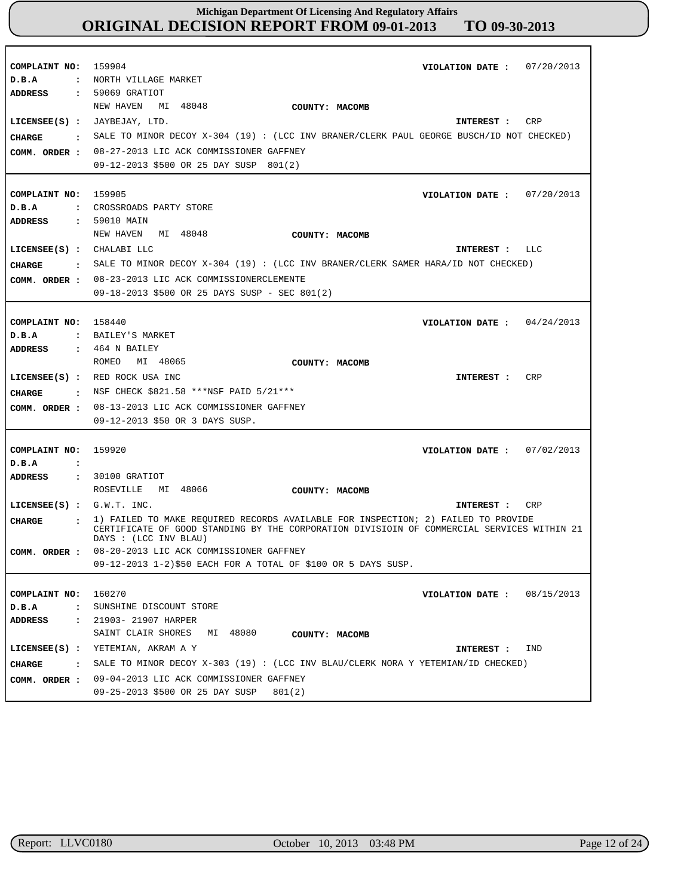| COMPLAINT NO:<br>D.B.A<br>ADDRESS                                | 159904<br>VIOLATION DATE: $07/20/2013$<br>: NORTH VILLAGE MARKET<br>: 59069 GRATIOT                                                                                                                                                                                          |
|------------------------------------------------------------------|------------------------------------------------------------------------------------------------------------------------------------------------------------------------------------------------------------------------------------------------------------------------------|
| CHARGE<br>COMM. ORDER :                                          | NEW HAVEN MI 48048<br>COUNTY: MACOMB<br>LICENSEE(S) : JAYBEJAY, LTD.<br>CRP<br>INTEREST :<br>. SALE TO MINOR DECOY X-304 (19) : (LCC INV BRANER/CLERK PAUL GEORGE BUSCH/ID NOT CHECKED)<br>08-27-2013 LIC ACK COMMISSIONER GAFFNEY<br>09-12-2013 \$500 OR 25 DAY SUSP 801(2) |
| COMPLAINT NO:<br>D.B.A<br><b>ADDRESS</b>                         | 159905<br>VIOLATION DATE: $07/20/2013$<br>: CROSSROADS PARTY STORE<br>: 59010 MAIN<br>NEW HAVEN MI 48048<br>COUNTY: MACOMB                                                                                                                                                   |
| $LICENSEE(S)$ : CHALABI LLC<br><b>CHARGE</b>                     | INTEREST : LLC<br>: SALE TO MINOR DECOY X-304 (19) : (LCC INV BRANER/CLERK SAMER HARA/ID NOT CHECKED)<br>COMM. ORDER : 08-23-2013 LIC ACK COMMISSIONERCLEMENTE<br>09-18-2013 \$500 OR 25 DAYS SUSP - SEC 801(2)                                                              |
| COMPLAINT NO:<br>D.B.A<br><b>ADDRESS</b>                         | 158440<br>VIOLATION DATE: $04/24/2013$<br>: BAILEY'S MARKET<br>$: 464$ N BAILEY                                                                                                                                                                                              |
| CHARGE<br>COMM. ORDER :                                          | MI 48065<br>ROMEO<br>COUNTY: MACOMB<br>LICENSEE(S) : RED ROCK USA INC<br>CRP<br>INTEREST :<br>: NSF CHECK \$821.58 ***NSF PAID 5/21***<br>08-13-2013 LIC ACK COMMISSIONER GAFFNEY<br>09-12-2013 \$50 OR 3 DAYS SUSP.                                                         |
| COMPLAINT NO:<br>D.B.A<br>$\ddot{\cdot}$<br>ADDRESS              | 159920<br>VIOLATION DATE: $07/02/2013$<br>: 30100 GRATIOT                                                                                                                                                                                                                    |
|                                                                  | MI 48066<br>ROSEVILLE<br>COUNTY: MACOMB                                                                                                                                                                                                                                      |
| LICENSEE $(S)$ : $G.W.T. INC.$<br>CHARGE<br>$\ddot{\phantom{a}}$ | CRP<br>INTEREST :<br>1) FAILED TO MAKE REQUIRED RECORDS AVAILABLE FOR INSPECTION; 2) FAILED TO PROVIDE<br>CERTIFICATE OF GOOD STANDING BY THE CORPORATION DIVISIOIN OF COMMERCIAL SERVICES WITHIN 21<br>DAYS : (LCC INV BLAU)                                                |
|                                                                  | COMM. ORDER : 08-20-2013 LIC ACK COMMISSIONER GAFFNEY<br>09-12-2013 1-2)\$50 EACH FOR A TOTAL OF \$100 OR 5 DAYS SUSP.                                                                                                                                                       |
| COMPLAINT NO:<br>$D$ . B. A<br>$\ddot{\phantom{a}}$              | 160270<br>VIOLATION DATE: $08/15/2013$<br>SUNSHINE DISCOUNT STORE                                                                                                                                                                                                            |
| <b>ADDRESS</b>                                                   | : 21903- 21907 HARPER<br>MI 48080<br>SAINT CLAIR SHORES<br>COUNTY: MACOMB                                                                                                                                                                                                    |
| $LICENSEE(S)$ :                                                  | YETEMIAN, AKRAM A Y<br>IND<br>INTEREST :                                                                                                                                                                                                                                     |
| CHARGE<br>$\sim$ $\sim$<br>COMM. ORDER :                         | SALE TO MINOR DECOY X-303 (19) : (LCC INV BLAU/CLERK NORA Y YETEMIAN/ID CHECKED)<br>09-04-2013 LIC ACK COMMISSIONER GAFFNEY<br>09-25-2013 \$500 OR 25 DAY SUSP<br>801(2)                                                                                                     |

r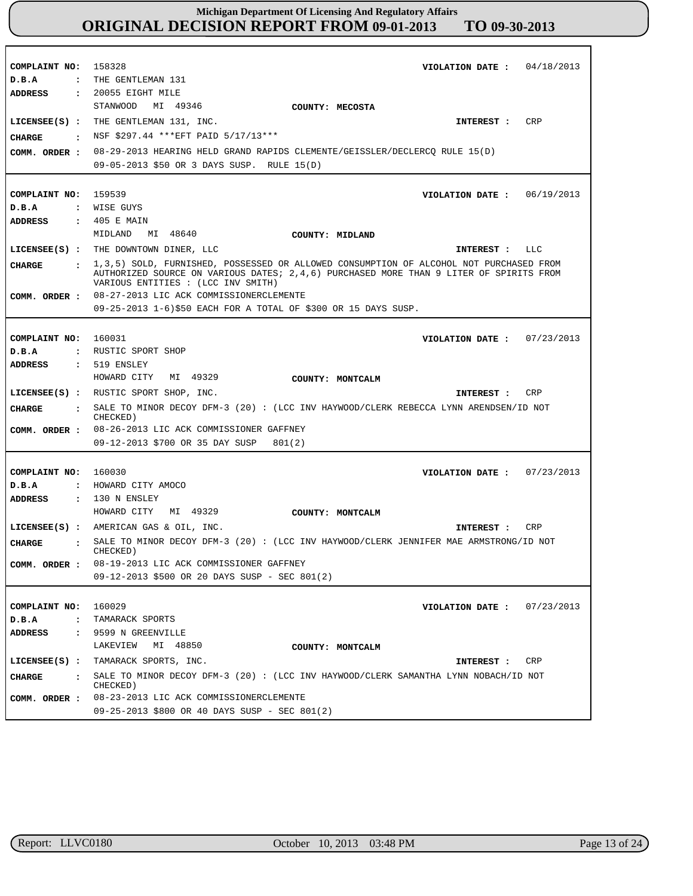| COMPLAINT NO:                   | 158328<br>VIOLATION DATE: $04/18/2013$                                                                                                                                                                                   |
|---------------------------------|--------------------------------------------------------------------------------------------------------------------------------------------------------------------------------------------------------------------------|
| D.B.A                           | : THE GENTLEMAN 131                                                                                                                                                                                                      |
| ADDRESS                         | $: 20055$ EIGHT MILE                                                                                                                                                                                                     |
|                                 | MI 49346<br>STANWOOD<br>COUNTY: MECOSTA                                                                                                                                                                                  |
|                                 | LICENSEE(S) : THE GENTLEMAN 131, INC.<br>CRP<br>INTEREST :                                                                                                                                                               |
| CHARGE<br>$\ddot{\phantom{a}}$  | NSF \$297.44 *** EFT PAID 5/17/13***                                                                                                                                                                                     |
| COMM. ORDER :                   | 08-29-2013 HEARING HELD GRAND RAPIDS CLEMENTE/GEISSLER/DECLERCQ RULE 15(D)                                                                                                                                               |
|                                 | 09-05-2013 \$50 OR 3 DAYS SUSP. RULE 15(D)                                                                                                                                                                               |
|                                 |                                                                                                                                                                                                                          |
| COMPLAINT NO:                   | 159539<br>VIOLATION DATE : $06/19/2013$                                                                                                                                                                                  |
| D.B.A                           | : WISE GUYS                                                                                                                                                                                                              |
| <b>ADDRESS</b>                  | : 405 E MAIN                                                                                                                                                                                                             |
|                                 | MIDLAND<br>MI 48640<br>COUNTY: MIDLAND                                                                                                                                                                                   |
|                                 | LICENSEE(S) : THE DOWNTOWN DINER, LLC<br>INTEREST : LLC                                                                                                                                                                  |
| <b>CHARGE</b>                   | : 1,3,5) SOLD, FURNISHED, POSSESSED OR ALLOWED CONSUMPTION OF ALCOHOL NOT PURCHASED FROM<br>AUTHORIZED SOURCE ON VARIOUS DATES; 2,4,6) PURCHASED MORE THAN 9 LITER OF SPIRITS FROM<br>VARIOUS ENTITIES : (LCC INV SMITH) |
| COMM. ORDER :                   | 08-27-2013 LIC ACK COMMISSIONERCLEMENTE                                                                                                                                                                                  |
|                                 | 09-25-2013 1-6)\$50 EACH FOR A TOTAL OF \$300 OR 15 DAYS SUSP.                                                                                                                                                           |
|                                 |                                                                                                                                                                                                                          |
| COMPLAINT NO:                   | 160031<br>VIOLATION DATE: $07/23/2013$                                                                                                                                                                                   |
| D.B.A                           | : RUSTIC SPORT SHOP                                                                                                                                                                                                      |
| ADDRESS                         | $: 519$ ENSLEY<br>HOWARD CITY                                                                                                                                                                                            |
|                                 | MI 49329<br>COUNTY: MONTCALM                                                                                                                                                                                             |
|                                 |                                                                                                                                                                                                                          |
|                                 | LICENSEE(S) : RUSTIC SPORT SHOP, INC.<br>CRP<br>INTEREST :                                                                                                                                                               |
| CIIARGE<br>$\mathbf{r}$         | SALE TO MINOR DECOY DFM-3 (20) : (LCC INV HAYWOOD/CLERK REBECCA LYNN ARENDSEN/ID NOT<br>CHECKED)                                                                                                                         |
| COMM. ORDER :                   | 08-26-2013 LIC ACK COMMISSIONER GAFFNEY                                                                                                                                                                                  |
|                                 | 09-12-2013 \$700 OR 35 DAY SUSP<br>801(2)                                                                                                                                                                                |
|                                 |                                                                                                                                                                                                                          |
| COMPLAINT NO:                   | 160030<br>VIOLATION DATE: $07/23/2013$                                                                                                                                                                                   |
| D.B.A<br>$\mathbf{r}$           | HOWARD CITY AMOCO                                                                                                                                                                                                        |
| ADDRESS                         | $: 130$ N ENSLEY                                                                                                                                                                                                         |
|                                 | HOWARD CITY MI 49329<br>COUNTY: MONTCALM                                                                                                                                                                                 |
|                                 | LICENSEE(S) : AMERICAN GAS & OIL, INC.<br>CRP<br>INTEREST :                                                                                                                                                              |
| <b>CIIARGE</b>                  | SALE TO MINOR DECOY DFM-3 (20): (LCC INV HAYWOOD/CLERK JENNIFER MAE ARMSTRONG/ID NOT<br>CHECKED)                                                                                                                         |
| COMM. ORDER :                   | 08-19-2013 LIC ACK COMMISSIONER GAFFNEY                                                                                                                                                                                  |
|                                 | 09-12-2013 \$500 OR 20 DAYS SUSP - SEC 801(2)                                                                                                                                                                            |
|                                 |                                                                                                                                                                                                                          |
| COMPLAINT NO:                   | 160029<br>VIOLATION DATE: $07/23/2013$                                                                                                                                                                                   |
| D.B.A<br>$\ddot{\cdot}$         | TAMARACK SPORTS                                                                                                                                                                                                          |
| $\ddot{\phantom{a}}$<br>ADDRESS | 9599 N GREENVILLE                                                                                                                                                                                                        |
|                                 | MI 48850<br>LAKEVIEW<br>COUNTY: MONTCALM                                                                                                                                                                                 |
| $LICENSEE(S)$ :                 | TAMARACK SPORTS, INC.<br>CRP<br>INTEREST :                                                                                                                                                                               |
| <b>CHARGE</b><br>$\mathbf{r}$   | SALE TO MINOR DECOY DFM-3 (20): (LCC INV HAYWOOD/CLERK SAMANTHA LYNN NOBACH/ID NOT<br>CHECKED)                                                                                                                           |
| COMM. ORDER :                   | 08-23-2013 LIC ACK COMMISSIONERCLEMENTE<br>09-25-2013 \$800 OR 40 DAYS SUSP - SEC 801(2)                                                                                                                                 |

r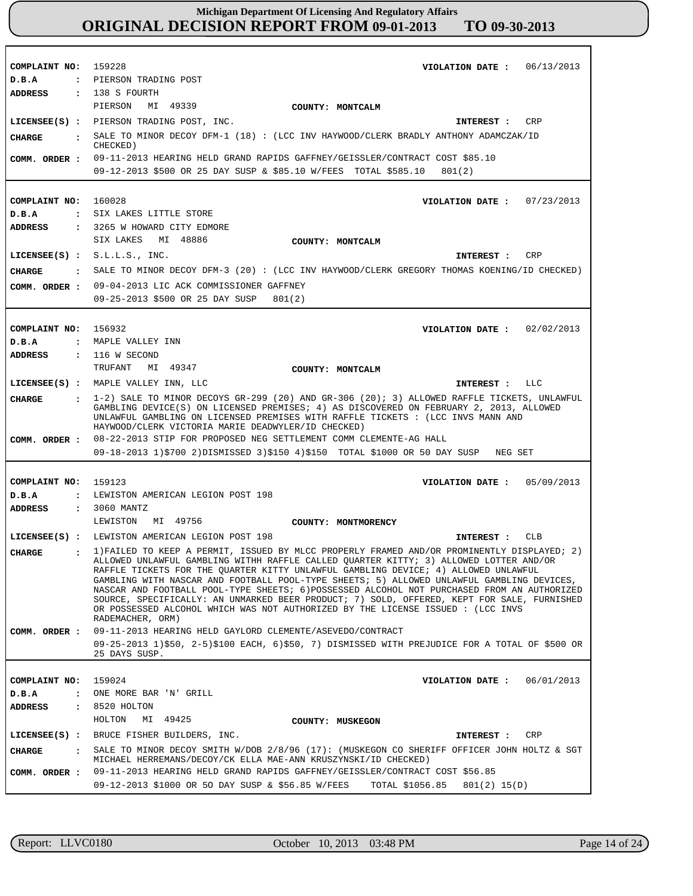**COMPLAINT NO: COMPLAINT NO:** 160028 **COMPLAINT NO: COMPLAINT NO:** 159123 **COMPLAINT NO:** 159228 156932 159024 **VIOLATION DATE : VIOLATION DATE : VIOLATION DATE : VIOLATION DATE :** 05/09/2013 **VIOLATION DATE :** 06/13/2013 07/23/2013 02/02/2013 06/01/2013 **D.B.A : D.B.A : D.B.A : D.B.A : D.B.A :** PIERSON TRADING POST SIX LAKES LITTLE STORE MAPLE VALLEY INN LEWISTON AMERICAN LEGION POST 198 ONE MORE BAR 'N' GRILL **ADDRESS : ADDRESS : ADDRESS : ADDRESS : ADDRESS :** 138 S FOURTH 3265 W HOWARD CITY EDMORE : 116 W SECOND 3060 MANTZ 8520 HOLTON PIERSON MI 49339 SIX LAKES MI 48886 TRUFANT MI 49347 LEWISTON MI 49756 HOLTON MI 49425 09-11-2013 HEARING HELD GRAND RAPIDS GAFFNEY/GEISSLER/CONTRACT COST \$85.10 09-12-2013 \$500 OR 25 DAY SUSP & \$85.10 W/FEES TOTAL \$585.10 801(2) 09-04-2013 LIC ACK COMMISSIONER GAFFNEY 09-25-2013 \$500 OR 25 DAY SUSP 801(2) 08-22-2013 STIP FOR PROPOSED NEG SETTLEMENT COMM CLEMENTE-AG HALL 09-18-2013 1)\$700 2)DISMISSED 3)\$150 4)\$150 TOTAL \$1000 OR 50 DAY SUSP NEG SET 09-11-2013 HEARING HELD GAYLORD CLEMENTE/ASEVEDO/CONTRACT 09-25-2013 1)\$50, 2-5)\$100 EACH, 6)\$50, 7) DISMISSED WITH PREJUDICE FOR A TOTAL OF \$500 OR 25 DAYS SUSP. 09-11-2013 HEARING HELD GRAND RAPIDS GAFFNEY/GEISSLER/CONTRACT COST \$56.85 09-12-2013 \$1000 OR 5O DAY SUSP & \$56.85 W/FEES TOTAL \$1056.85 801(2) 15(D) **LICENSEE(S) : LICENSEE(S) :** S.L.L.S., INC. **LICENSEE(S) :** MAPLE VALLEY INN, LLC **LICENSEE(S) :** LEWISTON AMERICAN LEGION POST 198 **LICENSEE(S) :** BRUCE FISHER BUILDERS, INC. PIERSON TRADING POST, INC. CRP CRP  $T.T.C$ CLB **CRP CHARGE : CHARGE : CHARGE : CHARGE : CHARGE :** SALE TO MINOR DECOY DFM-1 (18) : (LCC INV HAYWOOD/CLERK BRADLY ANTHONY ADAMCZAK/ID CHECKED) SALE TO MINOR DECOY DFM-3 (20) : (LCC INV HAYWOOD/CLERK GREGORY THOMAS KOENING/ID CHECKED) 1-2) SALE TO MINOR DECOYS GR-299 (20) AND GR-306 (20); 3) ALLOWED RAFFLE TICKETS, UNLAWFUL GAMBLING DEVICE(S) ON LICENSED PREMISES; 4) AS DISCOVERED ON FEBRUARY 2, 2013, ALLOWED UNLAWFUL GAMBLING ON LICENSED PREMISES WITH RAFFLE TICKETS : (LCC INVS MANN AND HAYWOOD/CLERK VICTORIA MARIE DEADWYLER/ID CHECKED) 1)FAILED TO KEEP A PERMIT, ISSUED BY MLCC PROPERLY FRAMED AND/OR PROMINENTLY DISPLAYED; 2) ALLOWED UNLAWFUL GAMBLING WITHH RAFFLE CALLED QUARTER KITTY; 3) ALLOWED LOTTER AND/OR RAFFLE TICKETS FOR THE QUARTER KITTY UNLAWFUL GAMBLING DEVICE; 4) ALLOWED UNLAWFUL GAMBLING WITH NASCAR AND FOOTBALL POOL-TYPE SHEETS; 5) ALLOWED UNLAWFUL GAMBLING DEVICES, NASCAR AND FOOTBALL POOL-TYPE SHEETS; 6)POSSESSED ALCOHOL NOT PURCHASED FROM AN AUTHORIZED SOURCE, SPECIFICALLY: AN UNMARKED BEER PRODUCT; 7) SOLD, OFFERED, KEPT FOR SALE, FURNISHED OR POSSESSED ALCOHOL WHICH WAS NOT AUTHORIZED BY THE LICENSE ISSUED : (LCC INVS RADEMACHER, ORM) SALE TO MINOR DECOY SMITH W/DOB 2/8/96 (17): (MUSKEGON CO SHERIFF OFFICER JOHN HOLTZ & SGT MICHAEL HERREMANS/DECOY/CK ELLA MAE-ANN KRUSZYNSKI/ID CHECKED) **INTEREST : INTEREST : INTEREST : INTEREST : INTEREST : COMM. ORDER : COMM. ORDER : COMM. ORDER : COMM. ORDER : COMM. ORDER : COUNTY: MONTCALM COUNTY: MONTCALM COUNTY: MONTCALM COUNTY: MONTMORENCY COUNTY: MUSKEGON**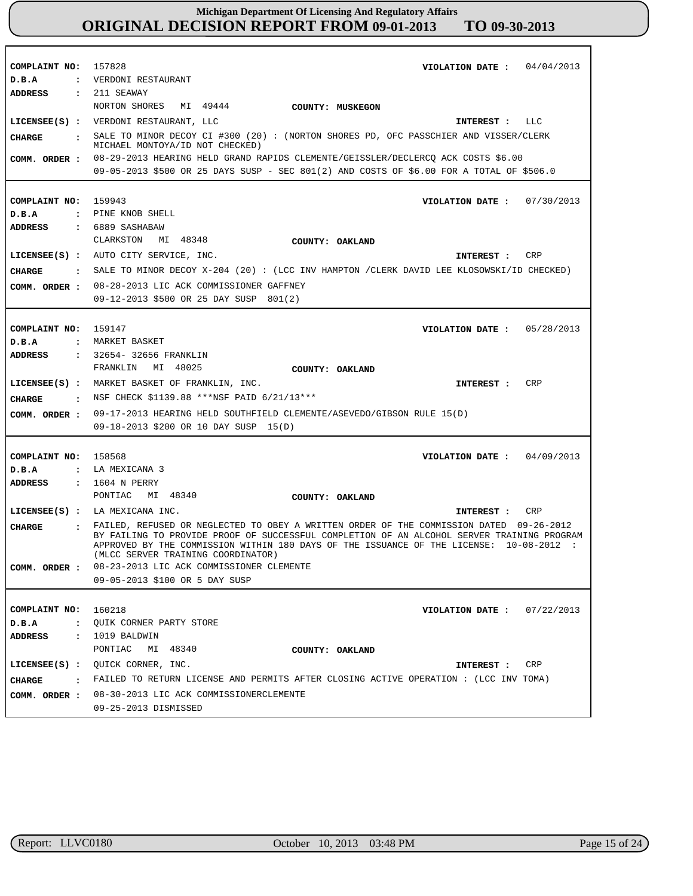| COMPLAINT NO:<br>D.B.A<br>ADDRESS | 157828<br>VIOLATION DATE: $04/04/2013$<br>: VERDONI RESTAURANT<br>$: 211$ SEAWAY                                                                                                                                                                                                                                       |
|-----------------------------------|------------------------------------------------------------------------------------------------------------------------------------------------------------------------------------------------------------------------------------------------------------------------------------------------------------------------|
|                                   | NORTON SHORES MI 49444<br>COUNTY: MUSKEGON                                                                                                                                                                                                                                                                             |
|                                   | LICENSEE(S) : VERDONI RESTAURANT, LLC<br>INTEREST : LLC                                                                                                                                                                                                                                                                |
| <b>CHARGE</b>                     | . SALE TO MINOR DECOY CI #300 (20) : (NORTON SHORES PD, OFC PASSCHIER AND VISSER/CLERK                                                                                                                                                                                                                                 |
|                                   | MICHAEL MONTOYA/ID NOT CHECKED)                                                                                                                                                                                                                                                                                        |
| COMM. ORDER :                     | 08-29-2013 HEARING HELD GRAND RAPIDS CLEMENTE/GEISSLER/DECLERCQ ACK COSTS \$6.00                                                                                                                                                                                                                                       |
|                                   | 09-05-2013 \$500 OR 25 DAYS SUSP - SEC 801(2) AND COSTS OF \$6.00 FOR A TOTAL OF \$506.0                                                                                                                                                                                                                               |
| COMPLAINT NO:                     | 159943<br>VIOLATION DATE: $07/30/2013$                                                                                                                                                                                                                                                                                 |
| D.B.A                             | : PINE KNOB SHELL                                                                                                                                                                                                                                                                                                      |
| <b>ADDRESS</b>                    | : 6889 SASHABAW                                                                                                                                                                                                                                                                                                        |
|                                   | MI 48348<br>CLARKSTON<br>COUNTY: OAKLAND                                                                                                                                                                                                                                                                               |
|                                   | LICENSEE(S) : AUTO CITY SERVICE, INC.<br>CRP<br>INTEREST :                                                                                                                                                                                                                                                             |
| CHARGE                            | : SALE TO MINOR DECOY X-204 (20): (LCC INV HAMPTON /CLERK DAVID LEE KLOSOWSKI/ID CHECKED)                                                                                                                                                                                                                              |
|                                   | COMM. ORDER : 08-28-2013 LIC ACK COMMISSIONER GAFFNEY                                                                                                                                                                                                                                                                  |
|                                   | 09-12-2013 \$500 OR 25 DAY SUSP 801(2)                                                                                                                                                                                                                                                                                 |
|                                   |                                                                                                                                                                                                                                                                                                                        |
| COMPLAINT NO:                     | 159147<br>VIOLATION DATE: $05/28/2013$                                                                                                                                                                                                                                                                                 |
| D.B.A                             | : MARKET BASKET                                                                                                                                                                                                                                                                                                        |
| ADDRESS                           | : 32654-32656 FRANKLIN                                                                                                                                                                                                                                                                                                 |
|                                   | FRANKLIN<br>MI 48025<br>COUNTY: OAKLAND                                                                                                                                                                                                                                                                                |
|                                   | CRP<br>LICENSEE(S) : MARKET BASKET OF FRANKLIN, INC.<br>INTEREST :                                                                                                                                                                                                                                                     |
| CHARGE                            | : NSF CHECK \$1139.88 ***NSF PAID 6/21/13***                                                                                                                                                                                                                                                                           |
| COMM. ORDER :                     | 09-17-2013 HEARING HELD SOUTHFIELD CLEMENTE/ASEVEDO/GIBSON RULE 15(D)                                                                                                                                                                                                                                                  |
|                                   | 09-18-2013 \$200 OR 10 DAY SUSP 15(D)                                                                                                                                                                                                                                                                                  |
|                                   |                                                                                                                                                                                                                                                                                                                        |
| COMPLAINT NO:                     | 158568<br>04/09/2013<br>VIOLATION DATE :                                                                                                                                                                                                                                                                               |
| D.B.A<br>$\ddot{\phantom{0}}$     | LA MEXICANA 3                                                                                                                                                                                                                                                                                                          |
| <b>ADDRESS</b>                    | : 1604 N PERRY                                                                                                                                                                                                                                                                                                         |
|                                   | PONTIAC<br>MI 48340<br>COUNTY: OAKLAND                                                                                                                                                                                                                                                                                 |
|                                   | $LICENSEE(S)$ : LA MEXICANA INC.<br>CRP<br>INTEREST :                                                                                                                                                                                                                                                                  |
| <b>CHARGE</b>                     | FAILED, REFUSED OR NEGLECTED TO OBEY A WRITTEN ORDER OF THE COMMISSION DATED 09-26-2012<br>BY FAILING TO PROVIDE PROOF OF SUCCESSFUL COMPLETION OF AN ALCOHOL SERVER TRAINING PROGRAM<br>APPROVED BY THE COMMISSION WITHIN 180 DAYS OF THE ISSUANCE OF THE LICENSE: 10-08-2012 :<br>(MLCC SERVER TRAINING COORDINATOR) |
| COMM. ORDER :                     | 08-23-2013 LIC ACK COMMISSIONER CLEMENTE                                                                                                                                                                                                                                                                               |
|                                   | 09-05-2013 \$100 OR 5 DAY SUSP                                                                                                                                                                                                                                                                                         |
|                                   |                                                                                                                                                                                                                                                                                                                        |
| COMPLAINT NO:                     | 160218<br>VIOLATION DATE: $07/22/2013$                                                                                                                                                                                                                                                                                 |
| D.B.A                             | : QUIK CORNER PARTY STORE                                                                                                                                                                                                                                                                                              |
| ADDRESS                           | $: 1019$ BALDWIN                                                                                                                                                                                                                                                                                                       |
|                                   | PONTIAC<br>MI 48340<br>COUNTY: OAKLAND                                                                                                                                                                                                                                                                                 |
|                                   | LICENSEE(S) : QUICK CORNER, INC.<br>CRP<br>INTEREST :                                                                                                                                                                                                                                                                  |
| CHARGE                            | . FAILED TO RETURN LICENSE AND PERMITS AFTER CLOSING ACTIVE OPERATION : (LCC INV TOMA)                                                                                                                                                                                                                                 |
|                                   | COMM. ORDER : 08-30-2013 LIC ACK COMMISSIONERCLEMENTE                                                                                                                                                                                                                                                                  |
|                                   | 09-25-2013 DISMISSED                                                                                                                                                                                                                                                                                                   |

г

٦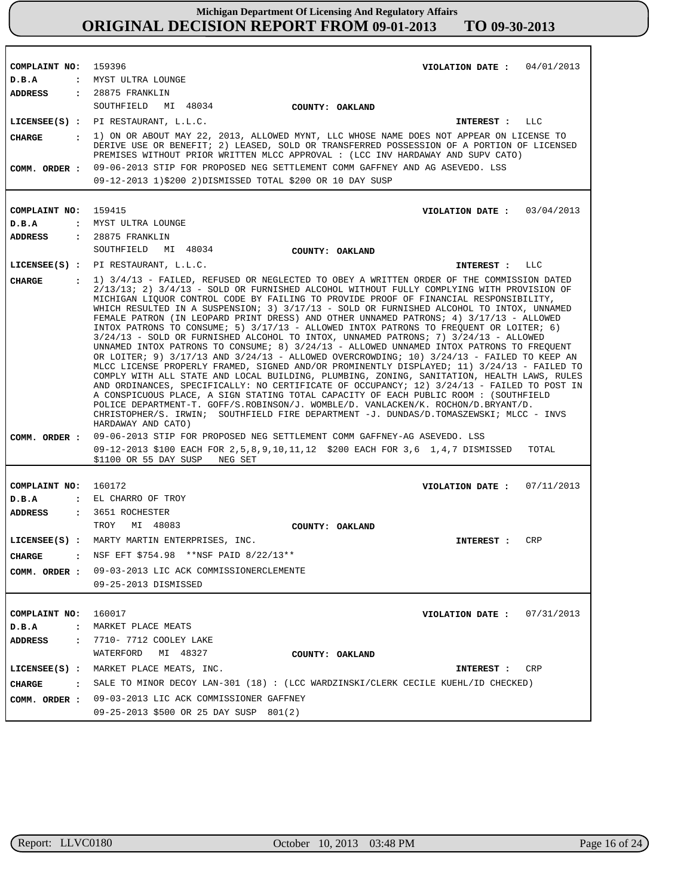| COMPLAINT NO: 159396     | VIOLATION DATE: $04/01/2013$                                                                                                                                                                                                                                                                                                                                                                                                                                                                                                                                                                                                                                                                                                                                                                                                                                                                                                                                                                                                                                                                                                                                                                                                                                                                                                                                                                                                             |
|--------------------------|------------------------------------------------------------------------------------------------------------------------------------------------------------------------------------------------------------------------------------------------------------------------------------------------------------------------------------------------------------------------------------------------------------------------------------------------------------------------------------------------------------------------------------------------------------------------------------------------------------------------------------------------------------------------------------------------------------------------------------------------------------------------------------------------------------------------------------------------------------------------------------------------------------------------------------------------------------------------------------------------------------------------------------------------------------------------------------------------------------------------------------------------------------------------------------------------------------------------------------------------------------------------------------------------------------------------------------------------------------------------------------------------------------------------------------------|
| D.B.A<br><b>ADDRESS</b>  | : MYST ULTRA LOUNGE                                                                                                                                                                                                                                                                                                                                                                                                                                                                                                                                                                                                                                                                                                                                                                                                                                                                                                                                                                                                                                                                                                                                                                                                                                                                                                                                                                                                                      |
|                          | $: 28875$ FRANKLIN                                                                                                                                                                                                                                                                                                                                                                                                                                                                                                                                                                                                                                                                                                                                                                                                                                                                                                                                                                                                                                                                                                                                                                                                                                                                                                                                                                                                                       |
|                          | SOUTHFIELD MI 48034<br><b>COUNTY: OAKLAND</b>                                                                                                                                                                                                                                                                                                                                                                                                                                                                                                                                                                                                                                                                                                                                                                                                                                                                                                                                                                                                                                                                                                                                                                                                                                                                                                                                                                                            |
|                          | LICENSEE(S) : PI RESTAURANT, L.L.C.<br>INTEREST : LLC                                                                                                                                                                                                                                                                                                                                                                                                                                                                                                                                                                                                                                                                                                                                                                                                                                                                                                                                                                                                                                                                                                                                                                                                                                                                                                                                                                                    |
| COMM. ORDER :            | CHARGE : 1) ON OR ABOUT MAY 22, 2013, ALLOWED MYNT, LLC WHOSE NAME DOES NOT APPEAR ON LICENSE TO<br>DERIVE USE OR BENEFIT; 2) LEASED, SOLD OR TRANSFERRED POSSESSION OF A PORTION OF LICENSED<br>PREMISES WITHOUT PRIOR WRITTEN MLCC APPROVAL : (LCC INV HARDAWAY AND SUPV CATO)<br>09-06-2013 STIP FOR PROPOSED NEG SETTLEMENT COMM GAFFNEY AND AG ASEVEDO. LSS                                                                                                                                                                                                                                                                                                                                                                                                                                                                                                                                                                                                                                                                                                                                                                                                                                                                                                                                                                                                                                                                         |
|                          | 09-12-2013 1)\$200 2)DISMISSED TOTAL \$200 OR 10 DAY SUSP                                                                                                                                                                                                                                                                                                                                                                                                                                                                                                                                                                                                                                                                                                                                                                                                                                                                                                                                                                                                                                                                                                                                                                                                                                                                                                                                                                                |
|                          |                                                                                                                                                                                                                                                                                                                                                                                                                                                                                                                                                                                                                                                                                                                                                                                                                                                                                                                                                                                                                                                                                                                                                                                                                                                                                                                                                                                                                                          |
| COMPLAINT NO: 159415     |                                                                                                                                                                                                                                                                                                                                                                                                                                                                                                                                                                                                                                                                                                                                                                                                                                                                                                                                                                                                                                                                                                                                                                                                                                                                                                                                                                                                                                          |
|                          | VIOLATION DATE: $03/04/2013$<br>: MYST ULTRA LOUNGE                                                                                                                                                                                                                                                                                                                                                                                                                                                                                                                                                                                                                                                                                                                                                                                                                                                                                                                                                                                                                                                                                                                                                                                                                                                                                                                                                                                      |
| $D$ . B. A               |                                                                                                                                                                                                                                                                                                                                                                                                                                                                                                                                                                                                                                                                                                                                                                                                                                                                                                                                                                                                                                                                                                                                                                                                                                                                                                                                                                                                                                          |
| ADDRESS                  | $: 28875$ FRANKLIN<br>SOUTHFIELD MI 48034                                                                                                                                                                                                                                                                                                                                                                                                                                                                                                                                                                                                                                                                                                                                                                                                                                                                                                                                                                                                                                                                                                                                                                                                                                                                                                                                                                                                |
|                          | <b>COUNTY: OAKLAND</b>                                                                                                                                                                                                                                                                                                                                                                                                                                                                                                                                                                                                                                                                                                                                                                                                                                                                                                                                                                                                                                                                                                                                                                                                                                                                                                                                                                                                                   |
|                          | LICENSEE(S) : PI RESTAURANT, L.L.C.<br>INTEREST : LLC                                                                                                                                                                                                                                                                                                                                                                                                                                                                                                                                                                                                                                                                                                                                                                                                                                                                                                                                                                                                                                                                                                                                                                                                                                                                                                                                                                                    |
| <b>CHARGE</b><br>$\cdot$ | 1) 3/4/13 - FAILED, REFUSED OR NEGLECTED TO OBEY A WRITTEN ORDER OF THE COMMISSION DATED<br>2/13/13; 2) 3/4/13 - SOLD OR FURNISHED ALCOHOL WITHOUT FULLY COMPLYING WITH PROVISION OF<br>MICHIGAN LIOUOR CONTROL CODE BY FAILING TO PROVIDE PROOF OF FINANCIAL RESPONSIBILITY,<br>WHICH RESULTED IN A SUSPENSION; 3) 3/17/13 - SOLD OR FURNISHED ALCOHOL TO INTOX, UNNAMED<br>FEMALE PATRON (IN LEOPARD PRINT DRESS) AND OTHER UNNAMED PATRONS; 4) 3/17/13 - ALLOWED<br>INTOX PATRONS TO CONSUME; 5) 3/17/13 - ALLOWED INTOX PATRONS TO FREQUENT OR LOITER; 6)<br>$3/24/13$ - SOLD OR FURNISHED ALCOHOL TO INTOX, UNNAMED PATRONS; 7) $3/24/13$ - ALLOWED<br>UNNAMED INTOX PATRONS TO CONSUME; 8) 3/24/13 - ALLOWED UNNAMED INTOX PATRONS TO FREQUENT<br>OR LOITER; 9) 3/17/13 AND 3/24/13 - ALLOWED OVERCROWDING; 10) 3/24/13 - FAILED TO KEEP AN<br>MLCC LICENSE PROPERLY FRAMED, SIGNED AND/OR PROMINENTLY DISPLAYED; 11) 3/24/13 - FAILED TO<br>COMPLY WITH ALL STATE AND LOCAL BUILDING, PLUMBING, ZONING, SANITATION, HEALTH LAWS, RULES<br>AND ORDINANCES, SPECIFICALLY: NO CERTIFICATE OF OCCUPANCY; 12) 3/24/13 - FAILED TO POST IN<br>A CONSPICUOUS PLACE, A SIGN STATING TOTAL CAPACITY OF EACH PUBLIC ROOM : (SOUTHFIELD<br>POLICE DEPARTMENT-T. GOFF/S.ROBINSON/J. WOMBLE/D. VANLACKEN/K. ROCHON/D.BRYANT/D.<br>CHRISTOPHER/S. IRWIN; SOUTHFIELD FIRE DEPARTMENT -J. DUNDAS/D.TOMASZEWSKI; MLCC - INVS<br>HARDAWAY AND CATO) |
| COMM. ORDER :            | 09-06-2013 STIP FOR PROPOSED NEG SETTLEMENT COMM GAFFNEY-AG ASEVEDO. LSS                                                                                                                                                                                                                                                                                                                                                                                                                                                                                                                                                                                                                                                                                                                                                                                                                                                                                                                                                                                                                                                                                                                                                                                                                                                                                                                                                                 |
|                          | 09-12-2013 \$100 EACH FOR 2,5,8,9,10,11,12 \$200 EACH FOR 3,6 1,4,7 DISMISSED<br>TOTAL<br>\$1100 OR 55 DAY SUSP<br>NEG SET                                                                                                                                                                                                                                                                                                                                                                                                                                                                                                                                                                                                                                                                                                                                                                                                                                                                                                                                                                                                                                                                                                                                                                                                                                                                                                               |
|                          |                                                                                                                                                                                                                                                                                                                                                                                                                                                                                                                                                                                                                                                                                                                                                                                                                                                                                                                                                                                                                                                                                                                                                                                                                                                                                                                                                                                                                                          |
| COMPLAINT NO: 160172     | VIOLATION DATE: $07/11/2013$                                                                                                                                                                                                                                                                                                                                                                                                                                                                                                                                                                                                                                                                                                                                                                                                                                                                                                                                                                                                                                                                                                                                                                                                                                                                                                                                                                                                             |
| D.B.A                    | : EL CHARRO OF TROY                                                                                                                                                                                                                                                                                                                                                                                                                                                                                                                                                                                                                                                                                                                                                                                                                                                                                                                                                                                                                                                                                                                                                                                                                                                                                                                                                                                                                      |
| <b>ADDRESS</b>           | $: 3651$ ROCHESTER                                                                                                                                                                                                                                                                                                                                                                                                                                                                                                                                                                                                                                                                                                                                                                                                                                                                                                                                                                                                                                                                                                                                                                                                                                                                                                                                                                                                                       |
|                          | TROY<br>MI 48083<br>COUNTY: OAKLAND                                                                                                                                                                                                                                                                                                                                                                                                                                                                                                                                                                                                                                                                                                                                                                                                                                                                                                                                                                                                                                                                                                                                                                                                                                                                                                                                                                                                      |
|                          | LICENSEE(S) : MARTY MARTIN ENTERPRISES, INC.<br><b>CRP</b>                                                                                                                                                                                                                                                                                                                                                                                                                                                                                                                                                                                                                                                                                                                                                                                                                                                                                                                                                                                                                                                                                                                                                                                                                                                                                                                                                                               |
|                          | INTEREST :                                                                                                                                                                                                                                                                                                                                                                                                                                                                                                                                                                                                                                                                                                                                                                                                                                                                                                                                                                                                                                                                                                                                                                                                                                                                                                                                                                                                                               |
| <b>CHARGE</b>            | : NSF EFT \$754.98 **NSF PAID $8/22/13**$                                                                                                                                                                                                                                                                                                                                                                                                                                                                                                                                                                                                                                                                                                                                                                                                                                                                                                                                                                                                                                                                                                                                                                                                                                                                                                                                                                                                |
|                          | COMM. ORDER : 09-03-2013 LIC ACK COMMISSIONERCLEMENTE                                                                                                                                                                                                                                                                                                                                                                                                                                                                                                                                                                                                                                                                                                                                                                                                                                                                                                                                                                                                                                                                                                                                                                                                                                                                                                                                                                                    |
|                          | 09-25-2013 DISMISSED                                                                                                                                                                                                                                                                                                                                                                                                                                                                                                                                                                                                                                                                                                                                                                                                                                                                                                                                                                                                                                                                                                                                                                                                                                                                                                                                                                                                                     |
|                          |                                                                                                                                                                                                                                                                                                                                                                                                                                                                                                                                                                                                                                                                                                                                                                                                                                                                                                                                                                                                                                                                                                                                                                                                                                                                                                                                                                                                                                          |
| COMPLAINT NO:            | 160017<br>VIOLATION DATE: $07/31/2013$                                                                                                                                                                                                                                                                                                                                                                                                                                                                                                                                                                                                                                                                                                                                                                                                                                                                                                                                                                                                                                                                                                                                                                                                                                                                                                                                                                                                   |
| D.B.A                    | : MARKET PLACE MEATS                                                                                                                                                                                                                                                                                                                                                                                                                                                                                                                                                                                                                                                                                                                                                                                                                                                                                                                                                                                                                                                                                                                                                                                                                                                                                                                                                                                                                     |
| ADDRESS                  | : 7710- 7712 COOLEY LAKE                                                                                                                                                                                                                                                                                                                                                                                                                                                                                                                                                                                                                                                                                                                                                                                                                                                                                                                                                                                                                                                                                                                                                                                                                                                                                                                                                                                                                 |
|                          | WATERFORD MI 48327<br>COUNTY: OAKLAND                                                                                                                                                                                                                                                                                                                                                                                                                                                                                                                                                                                                                                                                                                                                                                                                                                                                                                                                                                                                                                                                                                                                                                                                                                                                                                                                                                                                    |
|                          | LICENSEE(S) : MARKET PLACE MEATS, INC.<br>CRP<br>INTEREST :                                                                                                                                                                                                                                                                                                                                                                                                                                                                                                                                                                                                                                                                                                                                                                                                                                                                                                                                                                                                                                                                                                                                                                                                                                                                                                                                                                              |
| CHARGE                   | : SALE TO MINOR DECOY LAN-301 (18): (LCC WARDZINSKI/CLERK CECILE KUEHL/ID CHECKED)                                                                                                                                                                                                                                                                                                                                                                                                                                                                                                                                                                                                                                                                                                                                                                                                                                                                                                                                                                                                                                                                                                                                                                                                                                                                                                                                                       |
|                          | COMM. ORDER : 09-03-2013 LIC ACK COMMISSIONER GAFFNEY<br>09-25-2013 \$500 OR 25 DAY SUSP 801(2)                                                                                                                                                                                                                                                                                                                                                                                                                                                                                                                                                                                                                                                                                                                                                                                                                                                                                                                                                                                                                                                                                                                                                                                                                                                                                                                                          |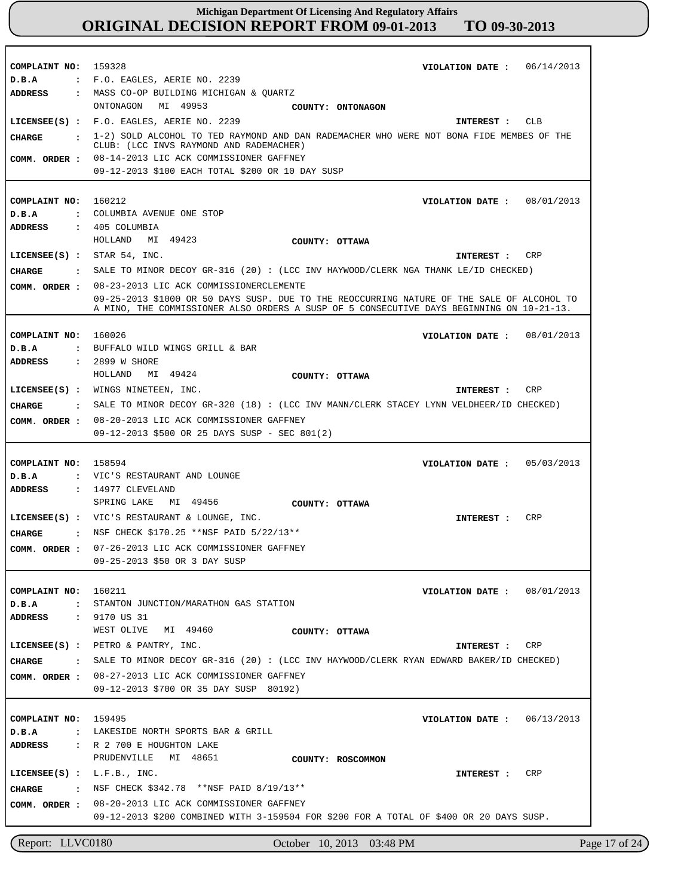| COMPLAINT NO:                         | 06/14/2013<br>159328<br>VIOLATION DATE :                                                                                                                                               |
|---------------------------------------|----------------------------------------------------------------------------------------------------------------------------------------------------------------------------------------|
| D.B.A                                 | : F.O. EAGLES, AERIE NO. 2239                                                                                                                                                          |
| <b>ADDRESS</b>                        | : MASS CO-OP BUILDING MICHIGAN & QUARTZ                                                                                                                                                |
|                                       | ONTONAGON MI 49953<br>COUNTY: ONTONAGON                                                                                                                                                |
| $LICENSEE(S)$ :                       | F.O. EAGLES, AERIE NO. 2239<br>CLB<br>INTEREST :                                                                                                                                       |
| CIIARGE<br>$\ddot{\phantom{a}}$       | 1-2) SOLD ALCOHOL TO TED RAYMOND AND DAN RADEMACHER WHO WERE NOT BONA FIDE MEMBES OF THE<br>CLUB: (LCC INVS RAYMOND AND RADEMACHER)                                                    |
| COMM. ORDER :                         | 08-14-2013 LIC ACK COMMISSIONER GAFFNEY                                                                                                                                                |
|                                       | 09-12-2013 \$100 EACH TOTAL \$200 OR 10 DAY SUSP                                                                                                                                       |
|                                       |                                                                                                                                                                                        |
| COMPLAINT NO:                         | 160212<br>08/01/2013<br>VIOLATION DATE :                                                                                                                                               |
| D.B.A<br>$\mathbf{r}$                 | COLUMBIA AVENUE ONE STOP                                                                                                                                                               |
| <b>ADDRESS</b>                        | $: 405$ COLUMBIA                                                                                                                                                                       |
|                                       | HOLLAND MI 49423<br>COUNTY: OTTAWA                                                                                                                                                     |
| LICENSEE $(s)$ : STAR 54, INC.        | CRP<br><b>INTEREST :</b>                                                                                                                                                               |
| CHARGE                                | SALE TO MINOR DECOY GR-316 (20) : (LCC INV HAYWOOD/CLERK NGA THANK LE/ID CHECKED)                                                                                                      |
|                                       |                                                                                                                                                                                        |
| COMM. ORDER :                         | 08-23-2013 LIC ACK COMMISSIONERCLEMENTE                                                                                                                                                |
|                                       | 09-25-2013 \$1000 OR 50 DAYS SUSP. DUE TO THE REOCCURRING NATURE OF THE SALE OF ALCOHOL TO<br>A MINO, THE COMMISSIONER ALSO ORDERS A SUSP OF 5 CONSECUTIVE DAYS BEGINNING ON 10-21-13. |
|                                       |                                                                                                                                                                                        |
| COMPLAINT NO:                         | 160026<br>VIOLATION DATE :<br>08/01/2013                                                                                                                                               |
| D.B.A<br>$\mathbf{r}$                 | BUFFALO WILD WINGS GRILL & BAR                                                                                                                                                         |
| <b>ADDRESS</b>                        | : 2899 W SHORE                                                                                                                                                                         |
|                                       | HOLLAND MI 49424<br>COUNTY: OTTAWA                                                                                                                                                     |
|                                       | LICENSEE(S) : WINGS NINETEEN, INC.<br>CRP<br>INTEREST :                                                                                                                                |
| CHARGE<br>$\mathbf{r}$                | SALE TO MINOR DECOY GR-320 (18) : (LCC INV MANN/CLERK STACEY LYNN VELDHEER/ID CHECKED)                                                                                                 |
| COMM. ORDER :                         | 08-20-2013 LIC ACK COMMISSIONER GAFFNEY                                                                                                                                                |
|                                       | 09-12-2013 \$500 OR 25 DAYS SUSP - SEC 801(2)                                                                                                                                          |
|                                       |                                                                                                                                                                                        |
|                                       |                                                                                                                                                                                        |
| COMPLAINT NO:                         | 158594<br>05/03/2013<br>VIOLATION DATE :                                                                                                                                               |
| D.B.A<br>$\mathbf{r}$                 | VIC'S RESTAURANT AND LOUNGE                                                                                                                                                            |
| <b>ADDRESS</b>                        | : 14977 CLEVELAND                                                                                                                                                                      |
|                                       | SPRING LAKE<br>MI 49456<br>COUNTY: OTTAWA                                                                                                                                              |
|                                       | LICENSEE(S) : VIC'S RESTAURANT & LOUNGE, INC.<br>CRP<br>INTEREST :                                                                                                                     |
| <b>CHARGE</b><br>$\sim$ $\sim$ $\sim$ | NSF CHECK \$170.25 ** NSF PAID 5/22/13 **                                                                                                                                              |
|                                       | 07-26-2013 LIC ACK COMMISSIONER GAFFNEY                                                                                                                                                |
| COMM. ORDER :                         | 09-25-2013 \$50 OR 3 DAY SUSP                                                                                                                                                          |
|                                       |                                                                                                                                                                                        |
| COMPLAINT NO: 160211                  | 08/01/2013<br>VIOLATION DATE :                                                                                                                                                         |
| D.B.A                                 | : STANTON JUNCTION/MARATHON GAS STATION                                                                                                                                                |
| ADDRESS : 9170 US 31                  |                                                                                                                                                                                        |
|                                       | WEST OLIVE MI 49460<br>COUNTY: OTTAWA                                                                                                                                                  |
| $LICENSEE(S)$ :                       | PETRO & PANTRY, INC.<br>CRP<br>INTEREST :                                                                                                                                              |
| CIIARGE                               | SALE TO MINOR DECOY GR-316 (20) : (LCC INV HAYWOOD/CLERK RYAN EDWARD BAKER/ID CHECKED)                                                                                                 |
|                                       |                                                                                                                                                                                        |
|                                       | COMM. ORDER : 08-27-2013 LIC ACK COMMISSIONER GAFFNEY<br>09-12-2013 \$700 OR 35 DAY SUSP 80192)                                                                                        |
|                                       |                                                                                                                                                                                        |
| COMPLAINT NO: 159495                  |                                                                                                                                                                                        |
| D.B.A                                 | VIOLATION DATE :<br>06/13/2013<br>: LAKESIDE NORTH SPORTS BAR & GRILL                                                                                                                  |
|                                       | ADDRESS : R 2 700 E HOUGHTON LAKE                                                                                                                                                      |
|                                       | PRUDENVILLE<br>MI 48651<br>COUNTY: ROSCOMMON                                                                                                                                           |
| LICENSEE $(S)$ : L.F.B., INC.         | <b>INTEREST :</b><br>CRP                                                                                                                                                               |
|                                       |                                                                                                                                                                                        |
|                                       | CHARGE : NSF CHECK \$342.78 ** NSF PAID 8/19/13**                                                                                                                                      |
|                                       | COMM. ORDER : 08-20-2013 LIC ACK COMMISSIONER GAFFNEY<br>09-12-2013 \$200 COMBINED WITH 3-159504 FOR \$200 FOR A TOTAL OF \$400 OR 20 DAYS SUSP.                                       |

Report: LLVC0180 October 10, 2013 03:48 PM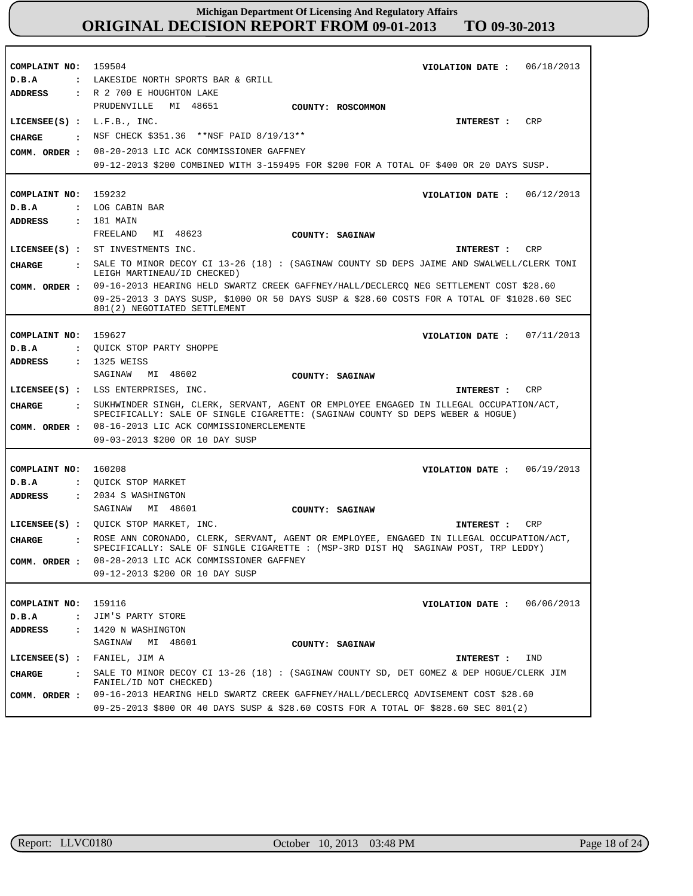| COMPLAINT NO: 159504                   | VIOLATION DATE : $06/18/2013$                                                                                               |
|----------------------------------------|-----------------------------------------------------------------------------------------------------------------------------|
| D.B.A                                  | : LAKESIDE NORTH SPORTS BAR & GRILL                                                                                         |
| ADDRESS                                | : R 2 700 E HOUGHTON LAKE                                                                                                   |
|                                        | MI 48651<br>PRUDENVILLE<br>COUNTY: ROSCOMMON                                                                                |
| LICENSEE $(S)$ : L.F.B., INC.          | CRP<br>INTEREST :                                                                                                           |
| CHARGE<br>$\mathbf{r}$                 | NSF CHECK \$351.36 **NSF PAID 8/19/13**                                                                                     |
| COMM. ORDER :                          | 08-20-2013 LIC ACK COMMISSIONER GAFFNEY                                                                                     |
|                                        | 09-12-2013 \$200 COMBINED WITH 3-159495 FOR \$200 FOR A TOTAL OF \$400 OR 20 DAYS SUSP.                                     |
|                                        |                                                                                                                             |
| COMPLAINT NO: 159232                   | VIOLATION DATE : $06/12/2013$                                                                                               |
| D.B.A                                  | : LOG CABIN BAR                                                                                                             |
| <b>ADDRESS</b>                         | : 181 MAIN                                                                                                                  |
|                                        | MI 48623<br>FREELAND<br>COUNTY: SAGINAW                                                                                     |
|                                        | LICENSEE(S) : ST INVESTMENTS INC.<br>INTEREST : CRP                                                                         |
| CHARGE                                 | : SALE TO MINOR DECOY CI 13-26 (18) : (SAGINAW COUNTY SD DEPS JAIME AND SWALWELL/CLERK TONI<br>LEIGH MARTINEAU/ID CHECKED)  |
|                                        | COMM. ORDER : 09-16-2013 HEARING HELD SWARTZ CREEK GAFFNEY/HALL/DECLERCQ NEG SETTLEMENT COST \$28.60                        |
|                                        | 09-25-2013 3 DAYS SUSP, \$1000 OR 50 DAYS SUSP & \$28.60 COSTS FOR A TOTAL OF \$1028.60 SEC<br>801(2) NEGOTIATED SETTLEMENT |
|                                        |                                                                                                                             |
| COMPLAINT NO:                          | 159627<br>VIOLATION DATE: $07/11/2013$                                                                                      |
| D.B.A                                  | : QUICK STOP PARTY SHOPPE                                                                                                   |
| <b>ADDRESS</b>                         | : 1325 WEISS                                                                                                                |
|                                        | SAGINAW MI 48602<br>COUNTY: SAGINAW                                                                                         |
|                                        |                                                                                                                             |
|                                        | LICENSEE(S) : LSS ENTERPRISES, INC.<br>CRP<br>INTEREST :                                                                    |
| CHARGE<br>$\mathbf{r}$                 | SUKHWINDER SINGH, CLERK, SERVANT, AGENT OR EMPLOYEE ENGAGED IN ILLEGAL OCCUPATION/ACT,                                      |
|                                        | SPECIFICALLY: SALE OF SINGLE CIGARETTE: (SAGINAW COUNTY SD DEPS WEBER & HOGUE)                                              |
|                                        | COMM. ORDER : 08-16-2013 LIC ACK COMMISSIONERCLEMENTE<br>09-03-2013 \$200 OR 10 DAY SUSP                                    |
|                                        |                                                                                                                             |
| COMPLAINT NO: 160208                   | VIOLATION DATE: $06/19/2013$                                                                                                |
| D.B.A                                  | : QUICK STOP MARKET                                                                                                         |
| ADDRESS                                | : 2034 S WASHINGTON                                                                                                         |
|                                        | MI 48601<br>SAGINAW<br>COUNTY: SAGINAW                                                                                      |
|                                        | LICENSEE(S) : QUICK STOP MARKET, INC.<br>CRP<br>INTEREST :                                                                  |
| CHARGE                                 | ROSE ANN CORONADO, CLERK, SERVANT, AGENT OR EMPLOYEE, ENGAGED IN ILLEGAL OCCUPATION/ACT,                                    |
|                                        | SPECIFICALLY: SALE OF SINGLE CIGARETTE : (MSP-3RD DIST HQ SAGINAW POST, TRP LEDDY)                                          |
| COMM. ORDER :                          | 08-28-2013 LIC ACK COMMISSIONER GAFFNEY<br>09-12-2013 \$200 OR 10 DAY SUSP                                                  |
|                                        |                                                                                                                             |
|                                        |                                                                                                                             |
| COMPLAINT NO:<br>D.B.A                 | 159116<br>06/06/2013<br>VIOLATION DATE :<br>: JIM'S PARTY STORE                                                             |
| <b>ADDRESS</b><br>$\ddot{\phantom{a}}$ | 1420 N WASHINGTON                                                                                                           |
|                                        | MI 48601<br>SAGINAW<br>COUNTY: SAGINAW                                                                                      |
|                                        | LICENSEE(S) : FANIEL, JIM A<br>IND<br>INTEREST :                                                                            |
| <b>CHARGE</b>                          | SALE TO MINOR DECOY CI 13-26 (18) : (SAGINAW COUNTY SD, DET GOMEZ & DEP HOGUE/CLERK JIM                                     |
| COMM. ORDER :                          | FANIEL/ID NOT CHECKED)<br>09-16-2013 HEARING HELD SWARTZ CREEK GAFFNEY/HALL/DECLERCO ADVISEMENT COST \$28.60                |

п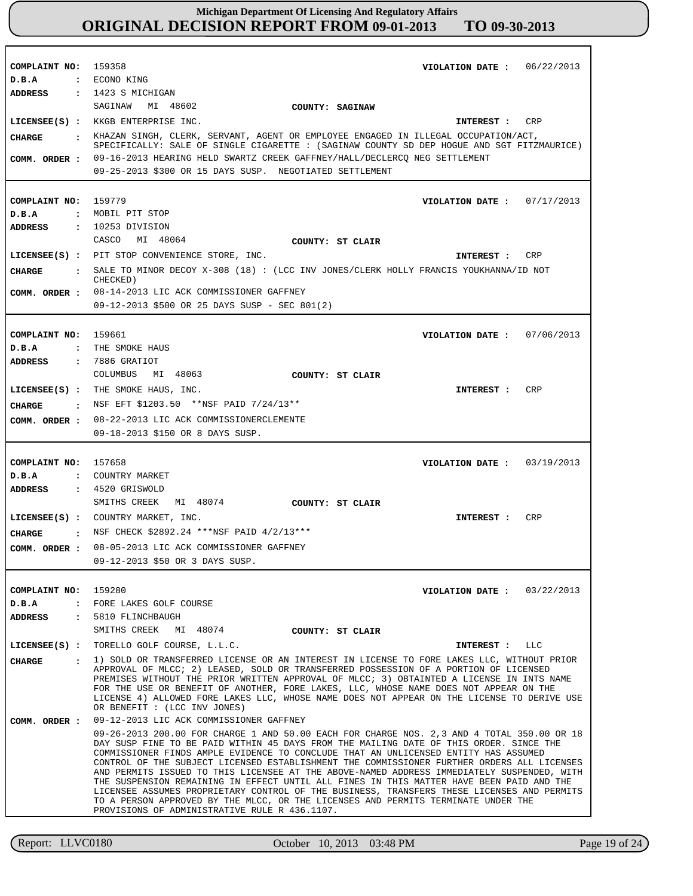| COMPLAINT NO: 159358<br>D.B.A<br><b>ADDRESS</b>           | : ECONO KING<br>: 1423 S MICHIGAN                                                                                                                                                                                                                                                                                                                                                                                                                                                                                                                                                                                                                                                                                                                                                                                                                  | 06/22/2013<br>VIOLATION DATE : |
|-----------------------------------------------------------|----------------------------------------------------------------------------------------------------------------------------------------------------------------------------------------------------------------------------------------------------------------------------------------------------------------------------------------------------------------------------------------------------------------------------------------------------------------------------------------------------------------------------------------------------------------------------------------------------------------------------------------------------------------------------------------------------------------------------------------------------------------------------------------------------------------------------------------------------|--------------------------------|
| CHARGE<br>$\sim$ $\sim$ $\sim$<br>COMM. ORDER :           | SAGINAW<br>MI 48602<br>COUNTY: SAGINAW<br>LICENSEE(S) : KKGB ENTERPRISE INC.<br>KHAZAN SINGH, CLERK, SERVANT, AGENT OR EMPLOYEE ENGAGED IN ILLEGAL OCCUPATION/ACT,<br>SPECIFICALLY: SALE OF SINGLE CIGARETTE : (SAGINAW COUNTY SD DEP HOGUE AND SGT FITZMAURICE)<br>09-16-2013 HEARING HELD SWARTZ CREEK GAFFNEY/HALL/DECLERCQ NEG SETTLEMENT<br>09-25-2013 \$300 OR 15 DAYS SUSP. NEGOTIATED SETTLEMENT                                                                                                                                                                                                                                                                                                                                                                                                                                           | CRP<br>INTEREST :              |
| COMPLAINT NO: 159779<br>D.B.A<br>ADDRESS                  | : MOBIL PIT STOP<br>$: 10253$ DIVISION                                                                                                                                                                                                                                                                                                                                                                                                                                                                                                                                                                                                                                                                                                                                                                                                             | VIOLATION DATE: $07/17/2013$   |
| CHARGE<br>COMM. ORDER :                                   | CASCO<br>MI 48064<br>COUNTY: ST CLAIR<br>LICENSEE(S) : PIT STOP CONVENIENCE STORE, INC.<br>: SALE TO MINOR DECOY X-308 (18) : (LCC INV JONES/CLERK HOLLY FRANCIS YOUKHANNA/ID NOT<br>CHECKED)<br>08-14-2013 LIC ACK COMMISSIONER GAFFNEY                                                                                                                                                                                                                                                                                                                                                                                                                                                                                                                                                                                                           | CRP<br>INTEREST :              |
| COMPLAINT NO: 159661<br>D.B.A                             | 09-12-2013 \$500 OR 25 DAYS SUSP - SEC 801(2)<br>: THE SMOKE HAUS                                                                                                                                                                                                                                                                                                                                                                                                                                                                                                                                                                                                                                                                                                                                                                                  | VIOLATION DATE: 07/06/2013     |
| <b>ADDRESS</b><br>CHARGE<br>COMM. ORDER :                 | : 7886 GRATIOT<br>MI 48063<br>COLUMBUS<br>COUNTY: ST CLAIR<br>LICENSEE(S) : THE SMOKE HAUS, INC.<br>: NSF EFT \$1203.50 **NSF PAID 7/24/13**<br>08-22-2013 LIC ACK COMMISSIONERCLEMENTE                                                                                                                                                                                                                                                                                                                                                                                                                                                                                                                                                                                                                                                            | CRP<br>INTEREST :              |
| COMPLAINT NO:                                             | 09-18-2013 \$150 OR 8 DAYS SUSP.<br>157658                                                                                                                                                                                                                                                                                                                                                                                                                                                                                                                                                                                                                                                                                                                                                                                                         | VIOLATION DATE : $03/19/2013$  |
| D.B.A<br>ADDRESS                                          | : COUNTRY MARKET<br>$: 4520$ GRISWOLD<br>SMITHS CREEK<br>MI 48074<br>COUNTY: ST CLAIR<br>LICENSEE(S) : COUNTRY MARKET, INC.                                                                                                                                                                                                                                                                                                                                                                                                                                                                                                                                                                                                                                                                                                                        | <b>CRP</b><br>INTEREST :       |
| CHARGE                                                    | : NSF CHECK \$2892.24 ***NSF PAID $4/2/13$ ***<br>COMM. ORDER : 08-05-2013 LIC ACK COMMISSIONER GAFFNEY<br>09-12-2013 \$50 OR 3 DAYS SUSP.                                                                                                                                                                                                                                                                                                                                                                                                                                                                                                                                                                                                                                                                                                         |                                |
| COMPLAINT NO:<br>D.B.A<br>ADDRESS<br>$\sim$ $\sim$ $\sim$ | 159280<br>FORE LAKES GOLF COURSE<br>$\ddot{\cdot}$<br>5810 FLINCHBAUGH<br>SMITHS CREEK MI 48074<br>COUNTY: ST CLAIR                                                                                                                                                                                                                                                                                                                                                                                                                                                                                                                                                                                                                                                                                                                                | VIOLATION DATE: $03/22/2013$   |
| $LICENSEE(S)$ :<br><b>CHARGE</b>                          | TORELLO GOLF COURSE, L.L.C.<br>1) SOLD OR TRANSFERRED LICENSE OR AN INTEREST IN LICENSE TO FORE LAKES LLC, WITHOUT PRIOR<br>$\cdot$<br>APPROVAL OF MLCC; 2) LEASED, SOLD OR TRANSFERRED POSSESSION OF A PORTION OF LICENSED<br>PREMISES WITHOUT THE PRIOR WRITTEN APPROVAL OF MLCC; 3) OBTAINTED A LICENSE IN INTS NAME<br>FOR THE USE OR BENEFIT OF ANOTHER, FORE LAKES, LLC, WHOSE NAME DOES NOT APPEAR ON THE<br>LICENSE 4) ALLOWED FORE LAKES LLC, WHOSE NAME DOES NOT APPEAR ON THE LICENSE TO DERIVE USE<br>OR BENEFIT : (LCC INV JONES)                                                                                                                                                                                                                                                                                                     | INTEREST : LLC                 |
| COMM. ORDER :                                             | 09-12-2013 LIC ACK COMMISSIONER GAFFNEY<br>09-26-2013 200.00 FOR CHARGE 1 AND 50.00 EACH FOR CHARGE NOS. 2,3 AND 4 TOTAL 350.00 OR 18<br>DAY SUSP FINE TO BE PAID WITHIN 45 DAYS FROM THE MAILING DATE OF THIS ORDER. SINCE THE<br>COMMISSIONER FINDS AMPLE EVIDENCE TO CONCLUDE THAT AN UNLICENSED ENTITY HAS ASSUMED<br>CONTROL OF THE SUBJECT LICENSED ESTABLISHMENT THE COMMISSIONER FURTHER ORDERS ALL LICENSES<br>AND PERMITS ISSUED TO THIS LICENSEE AT THE ABOVE-NAMED ADDRESS IMMEDIATELY SUSPENDED, WITH<br>THE SUSPENSION REMAINING IN EFFECT UNTIL ALL FINES IN THIS MATTER HAVE BEEN PAID AND THE<br>LICENSEE ASSUMES PROPRIETARY CONTROL OF THE BUSINESS, TRANSFERS THESE LICENSES AND PERMITS<br>TO A PERSON APPROVED BY THE MLCC, OR THE LICENSES AND PERMITS TERMINATE UNDER THE<br>PROVISIONS OF ADMINISTRATIVE RULE R 436.1107. |                                |

Report: LLVC0180 October 10, 2013 03:48 PM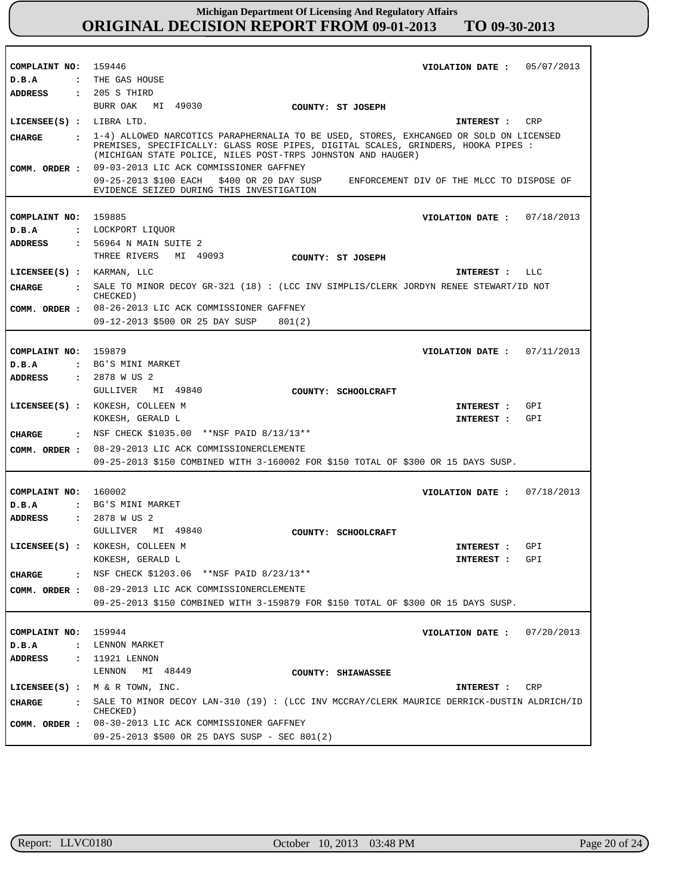| COMPLAINT NO:                          | 159446<br>05/07/2013<br>VIOLATION DATE :                                                                                                                                                                                                    |  |
|----------------------------------------|---------------------------------------------------------------------------------------------------------------------------------------------------------------------------------------------------------------------------------------------|--|
| D.B.A<br>$\ddot{\phantom{a}}$          | THE GAS HOUSE                                                                                                                                                                                                                               |  |
| <b>ADDRESS</b>                         | $: 205 S$ THIRD                                                                                                                                                                                                                             |  |
|                                        | BURR OAK<br>MI 49030<br>COUNTY: ST JOSEPH                                                                                                                                                                                                   |  |
| LICENSEE(S) : LIBRA LTD.               | CRP<br>INTEREST :                                                                                                                                                                                                                           |  |
| <b>CIIARGE</b><br>$\ddot{\phantom{a}}$ | 1-4) ALLOWED NARCOTICS PARAPHERNALIA TO BE USED, STORES, EXHCANGED OR SOLD ON LICENSED<br>PREMISES, SPECIFICALLY: GLASS ROSE PIPES, DIGITAL SCALES, GRINDERS, HOOKA PIPES :<br>(MICHIGAN STATE POLICE, NILES POST-TRPS JOHNSTON AND HAUGER) |  |
| COMM. ORDER :                          | 09-03-2013 LIC ACK COMMISSIONER GAFFNEY                                                                                                                                                                                                     |  |
|                                        | 09-25-2013 \$100 EACH \$400 OR 20 DAY SUSP<br>ENFORCEMENT DIV OF THE MLCC TO DISPOSE OF<br>EVIDENCE SEIZED DURING THIS INVESTIGATION                                                                                                        |  |
|                                        |                                                                                                                                                                                                                                             |  |
| COMPLAINT NO:                          | 159885<br>VIOLATION DATE: $07/18/2013$                                                                                                                                                                                                      |  |
| D.B.A                                  | : LOCKPORT LIQUOR                                                                                                                                                                                                                           |  |
| <b>ADDRESS</b>                         | : 56964 N MAIN SUITE 2                                                                                                                                                                                                                      |  |
|                                        | THREE RIVERS<br>MI 49093<br>COUNTY: ST JOSEPH                                                                                                                                                                                               |  |
|                                        | LICENSEE(S) : KARMAN, LLC<br>LLC<br><b>INTEREST :</b>                                                                                                                                                                                       |  |
| CIIARGE                                | : SALE TO MINOR DECOY GR-321 (18) : (LCC INV SIMPLIS/CLERK JORDYN RENEE STEWART/ID NOT<br>CHECKED)                                                                                                                                          |  |
|                                        | COMM. ORDER : 08-26-2013 LIC ACK COMMISSIONER GAFFNEY                                                                                                                                                                                       |  |
|                                        | 09-12-2013 \$500 OR 25 DAY SUSP<br>801(2)                                                                                                                                                                                                   |  |
|                                        |                                                                                                                                                                                                                                             |  |
| COMPLAINT NO:                          | 159879<br>07/11/2013<br>VIOLATION DATE :                                                                                                                                                                                                    |  |
| D.B.A                                  | : BG'S MINI MARKET                                                                                                                                                                                                                          |  |
| <b>ADDRESS</b>                         | : 2878 W US 2                                                                                                                                                                                                                               |  |
|                                        | GULLIVER MI 49840<br>COUNTY: SCHOOLCRAFT                                                                                                                                                                                                    |  |
|                                        | LICENSEE(S) : KOKESH, COLLEEN M<br>GPI<br>INTEREST :                                                                                                                                                                                        |  |
|                                        | GPI<br>KOKESH, GERALD L<br>INTEREST :                                                                                                                                                                                                       |  |
| CHARGE                                 | : NSF CHECK \$1035.00 **NSF PAID $8/13/13**$                                                                                                                                                                                                |  |
| COMM. ORDER :                          | 08-29-2013 LIC ACK COMMISSIONERCLEMENTE                                                                                                                                                                                                     |  |
|                                        | 09-25-2013 \$150 COMBINED WITH 3-160002 FOR \$150 TOTAL OF \$300 OR 15 DAYS SUSP.                                                                                                                                                           |  |
|                                        |                                                                                                                                                                                                                                             |  |
| COMPLAINT NO:                          | 160002<br>07/18/2013<br>VIOLATION DATE :                                                                                                                                                                                                    |  |
| D.B.A                                  | : BG'S MINI MARKET                                                                                                                                                                                                                          |  |
| <b>ADDRESS</b>                         | : 2878 W US 2                                                                                                                                                                                                                               |  |
|                                        | GULLIVER MI 49840<br>COUNTY: SCHOOLCRAFT                                                                                                                                                                                                    |  |
|                                        | LICENSEE(S) : KOKESH, COLLEEN M<br>GPI<br>INTEREST :                                                                                                                                                                                        |  |
|                                        | KOKESH, GERALD L<br>INTEREST:<br>GPI                                                                                                                                                                                                        |  |
| <b>CHARGE</b><br>$\cdot$               | NSF CHECK \$1203.06 ** NSF PAID 8/23/13 **                                                                                                                                                                                                  |  |
| COMM. ORDER :                          | 08-29-2013 LIC ACK COMMISSIONERCLEMENTE                                                                                                                                                                                                     |  |
|                                        | 09-25-2013 \$150 COMBINED WITH 3-159879 FOR \$150 TOTAL OF \$300 OR 15 DAYS SUSP.                                                                                                                                                           |  |
|                                        |                                                                                                                                                                                                                                             |  |
| COMPLAINT NO:                          | 159944<br>07/20/2013<br>VIOLATION DATE :                                                                                                                                                                                                    |  |
| D.B.A<br>$\ddot{\phantom{a}}$          | LENNON MARKET                                                                                                                                                                                                                               |  |
| <b>ADDRESS</b>                         | : 11921 LENNON                                                                                                                                                                                                                              |  |
|                                        | LENNON<br>MI 48449<br>COUNTY: SHIAWASSEE                                                                                                                                                                                                    |  |
|                                        | LICENSEE(S) : $M \& R$ TOWN, INC.<br>CRP<br>INTEREST :                                                                                                                                                                                      |  |
|                                        | SALE TO MINOR DECOY LAN-310 (19): (LCC INV MCCRAY/CLERK MAURICE DERRICK-DUSTIN ALDRICH/ID                                                                                                                                                   |  |
| <b>CHARGE</b><br>$\ddot{\cdot}$        | CHECKED)                                                                                                                                                                                                                                    |  |
| COMM. ORDER :                          | 08-30-2013 LIC ACK COMMISSIONER GAFFNEY                                                                                                                                                                                                     |  |
|                                        | 09-25-2013 \$500 OR 25 DAYS SUSP - SEC 801(2)                                                                                                                                                                                               |  |

г

٦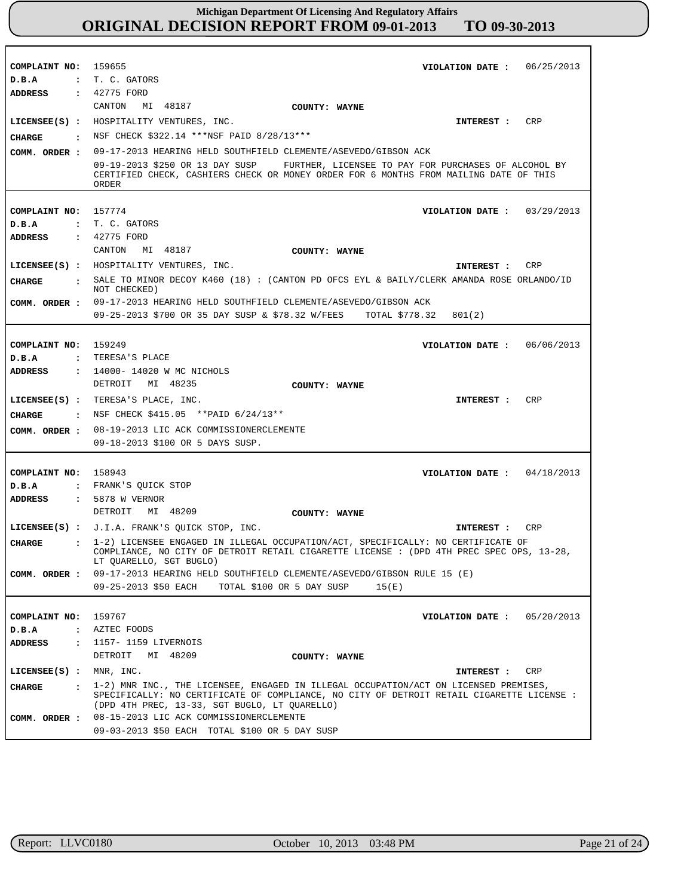| COMPLAINT NO: 159655                   | VIOLATION DATE: $06/25/2013$                                                                                                                                                                                                       |
|----------------------------------------|------------------------------------------------------------------------------------------------------------------------------------------------------------------------------------------------------------------------------------|
| D.B.A                                  | : T. C. GATORS                                                                                                                                                                                                                     |
| <b>ADDRESS</b>                         | : 42775 FORD                                                                                                                                                                                                                       |
|                                        | CANTON<br>MI 48187                                                                                                                                                                                                                 |
|                                        | COUNTY: WAYNE                                                                                                                                                                                                                      |
|                                        | LICENSEE(S) : HOSPITALITY VENTURES, INC.<br>CRP<br>INTEREST :                                                                                                                                                                      |
| CHARGE                                 | : NSF CHECK \$322.14 ***NSF PAID 8/28/13***                                                                                                                                                                                        |
| COMM. ORDER :                          | 09-17-2013 HEARING HELD SOUTHFIELD CLEMENTE/ASEVEDO/GIBSON ACK                                                                                                                                                                     |
|                                        | 09-19-2013 \$250 OR 13 DAY SUSP<br>FURTHER, LICENSEE TO PAY FOR PURCHASES OF ALCOHOL BY<br>CERTIFIED CHECK, CASHIERS CHECK OR MONEY ORDER FOR 6 MONTHS FROM MAILING DATE OF THIS<br>ORDER                                          |
|                                        |                                                                                                                                                                                                                                    |
| COMPLAINT NO: 157774                   | VIOLATION DATE: $03/29/2013$                                                                                                                                                                                                       |
| D.B.A                                  | : T. C. GATORS                                                                                                                                                                                                                     |
| ADDRESS                                | : 42775 FORD                                                                                                                                                                                                                       |
|                                        | MI 48187<br>CANTON<br>COUNTY: WAYNE                                                                                                                                                                                                |
|                                        | LICENSEE(S) : HOSPITALITY VENTURES, INC.<br>CRP<br>INTEREST :                                                                                                                                                                      |
| <b>CIIARGE</b>                         | : SALE TO MINOR DECOY K460 (18) : (CANTON PD OFCS EYL & BAILY/CLERK AMANDA ROSE ORLANDO/ID<br>NOT CHECKED)                                                                                                                         |
|                                        | COMM. ORDER : 09-17-2013 HEARING HELD SOUTHFIELD CLEMENTE/ASEVEDO/GIBSON ACK                                                                                                                                                       |
|                                        | 09-25-2013 \$700 OR 35 DAY SUSP & \$78.32 W/FEES TOTAL \$778.32<br>801(2)                                                                                                                                                          |
|                                        |                                                                                                                                                                                                                                    |
| COMPLAINT NO: 159249                   | VIOLATION DATE: $06/06/2013$                                                                                                                                                                                                       |
| D.B.A                                  | : TERESA'S PLACE                                                                                                                                                                                                                   |
| ADDRESS                                | : 14000-14020 W MC NICHOLS                                                                                                                                                                                                         |
|                                        | DETROIT MI 48235<br>COUNTY: WAYNE                                                                                                                                                                                                  |
|                                        | LICENSEE(S) : TERESA'S PLACE, INC.<br>CRP<br>INTEREST :                                                                                                                                                                            |
| CIIARGE                                | : NSF CHECK \$415.05 ** PAID 6/24/13**                                                                                                                                                                                             |
| COMM. ORDER :                          | 08-19-2013 LIC ACK COMMISSIONERCLEMENTE                                                                                                                                                                                            |
|                                        | 09-18-2013 \$100 OR 5 DAYS SUSP.                                                                                                                                                                                                   |
|                                        |                                                                                                                                                                                                                                    |
| COMPLAINT NO:                          | 158943<br>VIOLATION DATE: $04/18/2013$                                                                                                                                                                                             |
| D.B.A                                  | : FRANK'S QUICK STOP                                                                                                                                                                                                               |
| ADDRESS                                | : 5878 W VERNOR                                                                                                                                                                                                                    |
|                                        | DETROIT MI 48209<br>COUNTY: WAYNE                                                                                                                                                                                                  |
|                                        | LICENSEE(S) : J.I.A. FRANK'S OUICK STOP, INC.<br>CRP<br>INTEREST :                                                                                                                                                                 |
| <b>CHARGE</b><br>$\ddot{\phantom{a}}$  | 1-2) LICENSEE ENGAGED IN ILLEGAL OCCUPATION/ACT, SPECIFICALLY: NO CERTIFICATE OF<br>COMPLIANCE, NO CITY OF DETROIT RETAIL CIGARETTE LICENSE : (DPD 4TH PREC SPEC OPS, 13-28,                                                       |
|                                        | LT QUARELLO, SGT BUGLO)                                                                                                                                                                                                            |
| COMM. ORDER :                          | 09-17-2013 HEARING HELD SOUTHFIELD CLEMENTE/ASEVEDO/GIBSON RULE 15 (E)                                                                                                                                                             |
|                                        | 09-25-2013 \$50 EACH<br>TOTAL \$100 OR 5 DAY SUSP<br>15(E)                                                                                                                                                                         |
|                                        |                                                                                                                                                                                                                                    |
| COMPLAINT NO:                          | 159767<br>05/20/2013<br>VIOLATION DATE :                                                                                                                                                                                           |
| D.B.A<br>$\ddot{\phantom{a}}$          | AZTEC FOODS                                                                                                                                                                                                                        |
| <b>ADDRESS</b><br>$\ddot{\phantom{a}}$ | 1157- 1159 LIVERNOIS                                                                                                                                                                                                               |
|                                        | DETROIT<br>MI 48209<br>COUNTY: WAYNE                                                                                                                                                                                               |
| $LICENSEE(S)$ :                        | MNR, INC.<br>CRP<br>INTEREST :                                                                                                                                                                                                     |
| <b>CHARGE</b><br>$\mathbf{r}$          | 1-2) MNR INC., THE LICENSEE, ENGAGED IN ILLEGAL OCCUPATION/ACT ON LICENSED PREMISES,<br>SPECIFICALLY: NO CERTIFICATE OF COMPLIANCE, NO CITY OF DETROIT RETAIL CIGARETTE LICENSE :<br>(DPD 4TH PREC, 13-33, SGT BUGLO, LT QUARELLO) |
| COMM. ORDER :                          | 08-15-2013 LIC ACK COMMISSIONERCLEMENTE                                                                                                                                                                                            |
|                                        | 09-03-2013 \$50 EACH TOTAL \$100 OR 5 DAY SUSP                                                                                                                                                                                     |

r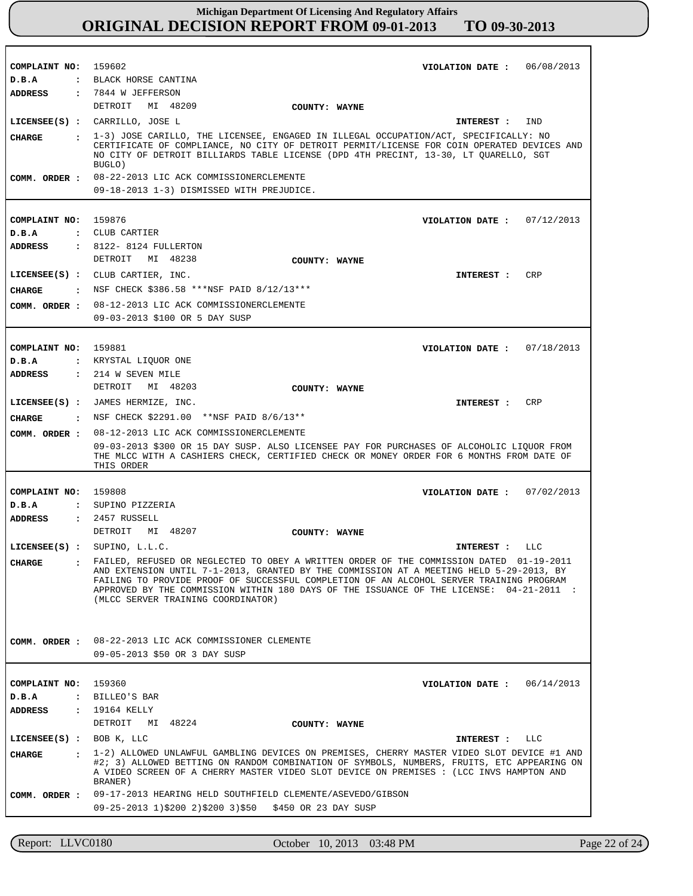| COMPLAINT NO: 159602          |              | VIOLATION DATE: $06/08/2013$                                                                                                                                                                                                                                                                                        |
|-------------------------------|--------------|---------------------------------------------------------------------------------------------------------------------------------------------------------------------------------------------------------------------------------------------------------------------------------------------------------------------|
| D.B.A                         |              | : BLACK HORSE CANTINA                                                                                                                                                                                                                                                                                               |
|                               |              | ADDRESS : 7844 W JEFFERSON                                                                                                                                                                                                                                                                                          |
|                               |              | DETROIT MI 48209<br>COUNTY: WAYNE                                                                                                                                                                                                                                                                                   |
|                               |              | LICENSEE(S) : CARRILLO, JOSE L<br>IND<br>INTEREST :                                                                                                                                                                                                                                                                 |
| CHARGE                        |              | : 1-3) JOSE CARILLO, THE LICENSEE, ENGAGED IN ILLEGAL OCCUPATION/ACT, SPECIFICALLY: NO<br>CERTIFICATE OF COMPLIANCE, NO CITY OF DETROIT PERMIT/LICENSE FOR COIN OPERATED DEVICES AND<br>NO CITY OF DETROIT BILLIARDS TABLE LICENSE (DPD 4TH PRECINT, 13-30, LT OUARELLO, SGT<br>BUGLO)                              |
|                               |              | COMM. ORDER : 08-22-2013 LIC ACK COMMISSIONERCLEMENTE                                                                                                                                                                                                                                                               |
|                               |              | 09-18-2013 1-3) DISMISSED WITH PREJUDICE.                                                                                                                                                                                                                                                                           |
|                               |              |                                                                                                                                                                                                                                                                                                                     |
| COMPLAINT NO: 159876<br>D.B.A |              | VIOLATION DATE: $07/12/2013$<br>: CLUB CARTIER                                                                                                                                                                                                                                                                      |
| ADDRESS                       |              | : 8122- 8124 FULLERTON                                                                                                                                                                                                                                                                                              |
|                               |              | DETROIT MI 48238                                                                                                                                                                                                                                                                                                    |
|                               |              | COUNTY: WAYNE                                                                                                                                                                                                                                                                                                       |
|                               |              | LICENSEE(S) : CLUB CARTIER, INC.<br><b>INTEREST :</b><br>CRP                                                                                                                                                                                                                                                        |
| CHARGE                        |              | : NSF CHECK \$386.58 ***NSF PAID 8/12/13***                                                                                                                                                                                                                                                                         |
|                               |              | COMM. ORDER : 08-12-2013 LIC ACK COMMISSIONERCLEMENTE                                                                                                                                                                                                                                                               |
|                               |              | 09-03-2013 \$100 OR 5 DAY SUSP                                                                                                                                                                                                                                                                                      |
| COMPLAINT NO: 159881          |              | VIOLATION DATE: $07/18/2013$                                                                                                                                                                                                                                                                                        |
| D.B.A                         |              | : KRYSTAL LIQUOR ONE                                                                                                                                                                                                                                                                                                |
| ADDRESS                       |              | : 214 W SEVEN MILE                                                                                                                                                                                                                                                                                                  |
|                               |              | DETROIT MI 48203                                                                                                                                                                                                                                                                                                    |
|                               |              | COUNTY: WAYNE                                                                                                                                                                                                                                                                                                       |
|                               |              | LICENSEE(S) : JAMES HERMIZE, INC.<br>CRP<br>INTEREST :                                                                                                                                                                                                                                                              |
| CHARGE                        |              | : NSF CHECK \$2291.00 ** NSF PAID 8/6/13**                                                                                                                                                                                                                                                                          |
| COMM. ORDER :                 |              | 08-12-2013 LIC ACK COMMISSIONERCLEMENTE                                                                                                                                                                                                                                                                             |
|                               |              | 09-03-2013 \$300 OR 15 DAY SUSP. ALSO LICENSEE PAY FOR PURCHASES OF ALCOHOLIC LIQUOR FROM<br>THE MLCC WITH A CASHIERS CHECK, CERTIFIED CHECK OR MONEY ORDER FOR 6 MONTHS FROM DATE OF<br>THIS ORDER                                                                                                                 |
| COMPLAINT NO: 159808          |              | VIOLATION DATE: 07/02/2013                                                                                                                                                                                                                                                                                          |
| D.B.A                         |              | : SUPINO PIZZERIA                                                                                                                                                                                                                                                                                                   |
| ADDRESS                       |              | $: 2457$ RUSSELL                                                                                                                                                                                                                                                                                                    |
|                               |              | DETROIT MI 48207<br>COUNTY: WAYNE                                                                                                                                                                                                                                                                                   |
|                               |              | LICENSEE(S) : SUPINO, L.L.C.<br>INTEREST : LLC                                                                                                                                                                                                                                                                      |
| <b>CHARGE</b>                 |              | FAILED, REFUSED OR NEGLECTED TO OBEY A WRITTEN ORDER OF THE COMMISSION DATED 01-19-2011                                                                                                                                                                                                                             |
|                               |              | AND EXTENSION UNTIL 7-1-2013, GRANTED BY THE COMMISSION AT A MEETING HELD 5-29-2013, BY<br>FAILING TO PROVIDE PROOF OF SUCCESSFUL COMPLETION OF AN ALCOHOL SERVER TRAINING PROGRAM<br>APPROVED BY THE COMMISSION WITHIN 180 DAYS OF THE ISSUANCE OF THE LICENSE: 04-21-2011 :<br>(MLCC SERVER TRAINING COORDINATOR) |
|                               |              | COMM. ORDER : 08-22-2013 LIC ACK COMMISSIONER CLEMENTE                                                                                                                                                                                                                                                              |
|                               |              | 09-05-2013 \$50 OR 3 DAY SUSP                                                                                                                                                                                                                                                                                       |
|                               |              |                                                                                                                                                                                                                                                                                                                     |
| COMPLAINT NO: 159360          |              | 06/14/2013<br>VIOLATION DATE :                                                                                                                                                                                                                                                                                      |
| D.B.A                         |              | : BILLEO'S BAR                                                                                                                                                                                                                                                                                                      |
|                               |              |                                                                                                                                                                                                                                                                                                                     |
| ADDRESS                       |              | : 19164 KELLY                                                                                                                                                                                                                                                                                                       |
|                               |              | DETROIT<br>MI 48224<br>COUNTY: WAYNE                                                                                                                                                                                                                                                                                |
| LICENSEE $(S)$ : BOB K, LLC   |              | LLC<br>INTEREST :                                                                                                                                                                                                                                                                                                   |
| <b>CHARGE</b>                 | $\mathbf{r}$ | 1-2) ALLOWED UNLAWFUL GAMBLING DEVICES ON PREMISES, CHERRY MASTER VIDEO SLOT DEVICE #1 AND<br>#2; 3) ALLOWED BETTING ON RANDOM COMBINATION OF SYMBOLS, NUMBERS, FRUITS, ETC APPEARING ON<br>A VIDEO SCREEN OF A CHERRY MASTER VIDEO SLOT DEVICE ON PREMISES : (LCC INVS HAMPTON AND<br>BRANER)                      |
|                               |              | COMM. ORDER : 09-17-2013 HEARING HELD SOUTHFIELD CLEMENTE/ASEVEDO/GIBSON                                                                                                                                                                                                                                            |

Report: LLVC0180 October 10, 2013 03:48 PM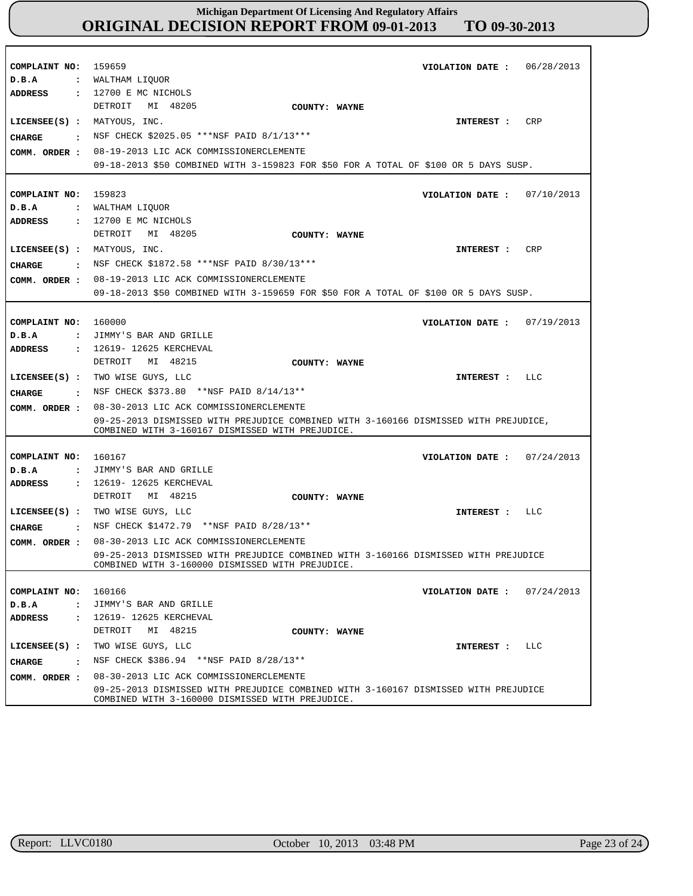| COMPLAINT NO:<br>D.B.A<br><b>ADDRESS</b>                                                 | 06/28/2013<br>159659<br>VIOLATION DATE :<br>: WALTHAM LIQUOR<br>: 12700 E MC NICHOLS                                                                                                |
|------------------------------------------------------------------------------------------|-------------------------------------------------------------------------------------------------------------------------------------------------------------------------------------|
| LICENSEE(S) : MATYOUS, INC.<br>CHARGE<br>$\ddot{\mathbf{r}}$<br>COMM. ORDER :            | DETROIT MI 48205<br>COUNTY: WAYNE<br><b>CRP</b><br>INTEREST:<br>NSF CHECK \$2025.05 ***NSF PAID 8/1/13***<br>08-19-2013 LIC ACK COMMISSIONERCLEMENTE                                |
|                                                                                          | 09-18-2013 \$50 COMBINED WITH 3-159823 FOR \$50 FOR A TOTAL OF \$100 OR 5 DAYS SUSP.                                                                                                |
| COMPLAINT NO:<br>D.B.A<br>$\mathbf{r}$<br><b>ADDRESS</b>                                 | 159823<br>VIOLATION DATE: $07/10/2013$<br>WALTHAM LIQUOR<br>: 12700 E MC NICHOLS                                                                                                    |
| LICENSEE(S) : MATYOUS, INC.<br><b>CHARGE</b><br>COMM. ORDER :                            | DETROIT MI 48205<br>COUNTY: WAYNE<br>INTEREST : CRP<br>. NSF CHECK \$1872.58 ***NSF PAID 8/30/13***<br>08-19-2013 LIC ACK COMMISSIONERCLEMENTE                                      |
|                                                                                          | 09-18-2013 \$50 COMBINED WITH 3-159659 FOR \$50 FOR A TOTAL OF \$100 OR 5 DAYS SUSP.                                                                                                |
| COMPLAINT NO:<br>D.B.A                                                                   | 160000<br>07/19/2013<br>VIOLATION DATE :<br>: JIMMY'S BAR AND GRILLE                                                                                                                |
| <b>ADDRESS</b><br>$\mathbf{r}$<br>$LICENSEE(S)$ :<br>CIIARGE<br>$\ddot{\mathbf{r}}$      | 12619- 12625 KERCHEVAL<br>DETROIT MI 48215<br>COUNTY: WAYNE<br>TWO WISE GUYS, LLC<br>LLC<br>INTEREST :<br>NSF CHECK \$373.80 **NSF PAID 8/14/13**                                   |
| COMM. ORDER :                                                                            | 08-30-2013 LIC ACK COMMISSIONERCLEMENTE<br>09-25-2013 DISMISSED WITH PREJUDICE COMBINED WITH 3-160166 DISMISSED WITH PREJUDICE,<br>COMBINED WITH 3-160167 DISMISSED WITH PREJUDICE. |
| COMPLAINT NO:<br>D.B.A<br>$\mathbf{r}$<br><b>ADDRESS</b><br>$\mathbf{r}$                 | 160167<br>VIOLATION DATE: $07/24/2013$<br>JIMMY'S BAR AND GRILLE<br>12619- 12625 KERCHEVAL                                                                                          |
| CHARGE<br>$\mathbf{r}$                                                                   | DETROIT MI 48215<br>COUNTY: WAYNE<br>LICENSEE(S) : TWO WISE GUYS, LLC<br>LLC<br>INTEREST :<br>NSF CHECK \$1472.79 **NSF PAID 8/28/13**                                              |
| COMM. ORDER :                                                                            | 08-30-2013 LIC ACK COMMISSIONERCLEMENTE<br>09-25-2013 DISMISSED WITH PREJUDICE COMBINED WITH 3-160166 DISMISSED WITH PREJUDICE<br>COMBINED WITH 3-160000 DISMISSED WITH PREJUDICE.  |
| COMPLAINT NO:<br>D.B.A<br>$\ddot{\phantom{a}}$<br><b>ADDRESS</b><br>$\ddot{\phantom{a}}$ | 160166<br>07/24/2013<br>VIOLATION DATE :<br>JIMMY'S BAR AND GRILLE<br>12619- 12625 KERCHEVAL                                                                                        |
| $LICENSEE(S)$ :<br>CHARGE<br>$\sim$ $\sim$                                               | MI 48215<br>DETROIT<br>COUNTY: WAYNE<br>TWO WISE GUYS, LLC<br>LLC<br>INTEREST :<br>NSF CHECK \$386.94 ** NSF PAID 8/28/13**<br>08-30-2013 LIC ACK COMMISSIONERCLEMENTE              |
| COMM. ORDER :                                                                            | 09-25-2013 DISMISSED WITH PREJUDICE COMBINED WITH 3-160167 DISMISSED WITH PREJUDICE<br>COMBINED WITH 3-160000 DISMISSED WITH PREJUDICE.                                             |